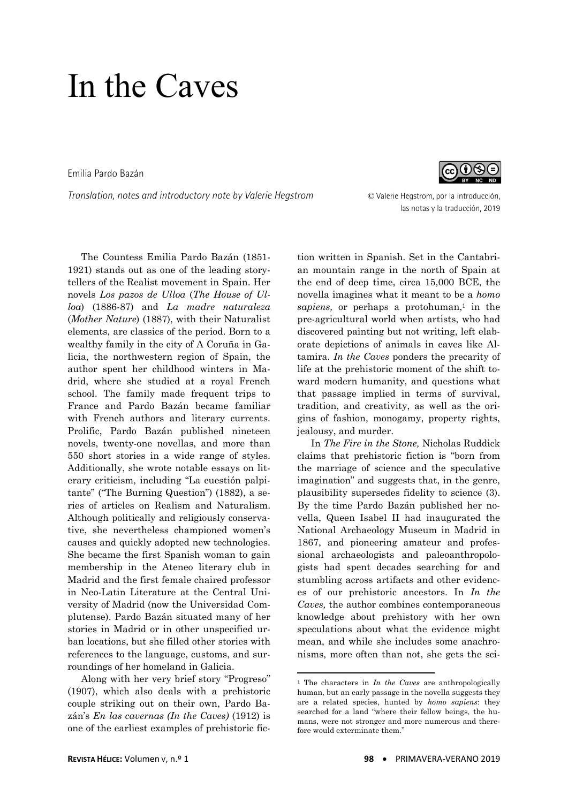Emilia Pardo Bazán

*Translation, notes and introductory note by Valerie Hegstrom* © Valerie Hegstrom, por la introducción,



las notas y la traducción, 2019

 The Countess Emilia Pardo Bazán (1851- 1921) stands out as one of the leading storytellers of the Realist movement in Spain. Her novels *Los pazos de Ulloa* (*The House of Ulloa*) (1886-87) and *La madre naturaleza* (*Mother Nature*) (1887), with their Naturalist elements, are classics of the period. Born to a wealthy family in the city of A Coruña in Galicia, the northwestern region of Spain, the author spent her childhood winters in Madrid, where she studied at a royal French school. The family made frequent trips to France and Pardo Bazán became familiar with French authors and literary currents. Prolific, Pardo Bazán published nineteen novels, twenty-one novellas, and more than 550 short stories in a wide range of styles. Additionally, she wrote notable essays on literary criticism, including "La cuestión palpitante" ("The Burning Question") (1882), a series of articles on Realism and Naturalism. Although politically and religiously conservative, she nevertheless championed women's causes and quickly adopted new technologies. She became the first Spanish woman to gain membership in the Ateneo literary club in Madrid and the first female chaired professor in Neo-Latin Literature at the Central University of Madrid (now the Universidad Complutense). Pardo Bazán situated many of her stories in Madrid or in other unspecified urban locations, but she filled other stories with references to the language, customs, and surroundings of her homeland in Galicia.

 Along with her very brief story "Progreso" (1907), which also deals with a prehistoric couple striking out on their own, Pardo Bazán's *En las cavernas (In the Caves)* (1912) is one of the earliest examples of prehistoric fiction written in Spanish. Set in the Cantabrian mountain range in the north of Spain at the end of deep time, circa 15,000 BCE, the novella imagines what it meant to be a *homo*  sapiens, or perhaps a protohuman,<sup>1</sup> in the pre-agricultural world when artists, who had discovered painting but not writing, left elaborate depictions of animals in caves like Altamira. *In the Caves* ponders the precarity of life at the prehistoric moment of the shift toward modern humanity, and questions what that passage implied in terms of survival, tradition, and creativity, as well as the origins of fashion, monogamy, property rights, jealousy, and murder.

 In *The Fire in the Stone,* Nicholas Ruddick claims that prehistoric fiction is "born from the marriage of science and the speculative imagination" and suggests that, in the genre, plausibility supersedes fidelity to science (3). By the time Pardo Bazán published her novella, Queen Isabel II had inaugurated the National Archaeology Museum in Madrid in 1867, and pioneering amateur and professional archaeologists and paleoanthropologists had spent decades searching for and stumbling across artifacts and other evidences of our prehistoric ancestors. In *In the Caves,* the author combines contemporaneous knowledge about prehistory with her own speculations about what the evidence might mean, and while she includes some anachronisms, more often than not, she gets the sci-

1

<sup>1</sup> The characters in *In the Caves* are anthropologically human, but an early passage in the novella suggests they are a related species, hunted by *homo sapiens*: they searched for a land "where their fellow beings, the humans, were not stronger and more numerous and therefore would exterminate them."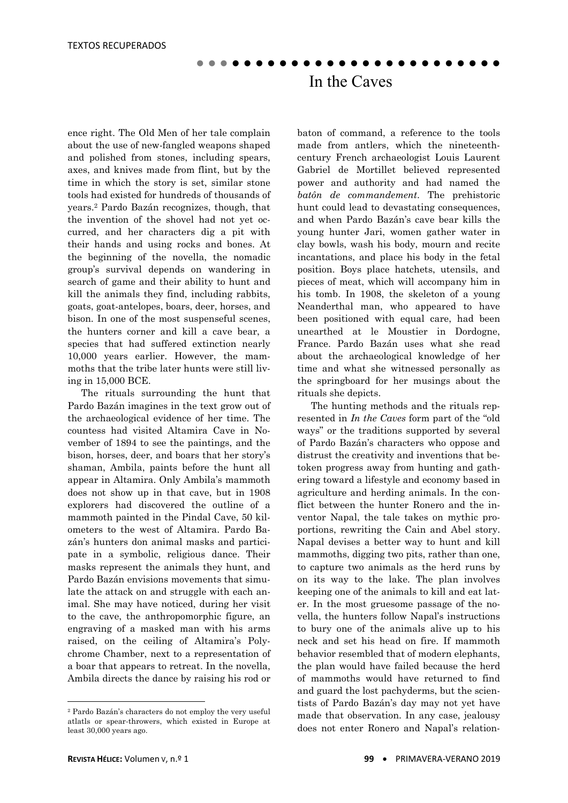ence right. The Old Men of her tale complain about the use of new-fangled weapons shaped and polished from stones, including spears, axes, and knives made from flint, but by the time in which the story is set, similar stone tools had existed for hundreds of thousands of years.2 Pardo Bazán recognizes, though, that the invention of the shovel had not yet occurred, and her characters dig a pit with their hands and using rocks and bones. At the beginning of the novella, the nomadic group's survival depends on wandering in search of game and their ability to hunt and kill the animals they find, including rabbits, goats, goat-antelopes, boars, deer, horses, and bison. In one of the most suspenseful scenes, the hunters corner and kill a cave bear, a species that had suffered extinction nearly 10,000 years earlier. However, the mammoths that the tribe later hunts were still living in 15,000 BCE.

 The rituals surrounding the hunt that Pardo Bazán imagines in the text grow out of the archaeological evidence of her time. The countess had visited Altamira Cave in November of 1894 to see the paintings, and the bison, horses, deer, and boars that her story's shaman, Ambila, paints before the hunt all appear in Altamira. Only Ambila's mammoth does not show up in that cave, but in 1908 explorers had discovered the outline of a mammoth painted in the Pindal Cave, 50 kilometers to the west of Altamira. Pardo Bazán's hunters don animal masks and participate in a symbolic, religious dance. Their masks represent the animals they hunt, and Pardo Bazán envisions movements that simulate the attack on and struggle with each animal. She may have noticed, during her visit to the cave, the anthropomorphic figure, an engraving of a masked man with his arms raised, on the ceiling of Altamira's Polychrome Chamber, next to a representation of a boar that appears to retreat. In the novella, Ambila directs the dance by raising his rod or

baton of command, a reference to the tools made from antlers, which the nineteenthcentury French archaeologist Louis Laurent Gabriel de Mortillet believed represented power and authority and had named the *batôn de commandement*. The prehistoric hunt could lead to devastating consequences, and when Pardo Bazán's cave bear kills the young hunter Jari, women gather water in clay bowls, wash his body, mourn and recite incantations, and place his body in the fetal position. Boys place hatchets, utensils, and pieces of meat, which will accompany him in his tomb. In 1908, the skeleton of a young Neanderthal man, who appeared to have been positioned with equal care, had been unearthed at le Moustier in Dordogne, France. Pardo Bazán uses what she read about the archaeological knowledge of her time and what she witnessed personally as the springboard for her musings about the rituals she depicts.

 The hunting methods and the rituals represented in *In the Caves* form part of the "old ways" or the traditions supported by several of Pardo Bazán's characters who oppose and distrust the creativity and inventions that betoken progress away from hunting and gathering toward a lifestyle and economy based in agriculture and herding animals. In the conflict between the hunter Ronero and the inventor Napal, the tale takes on mythic proportions, rewriting the Cain and Abel story. Napal devises a better way to hunt and kill mammoths, digging two pits, rather than one, to capture two animals as the herd runs by on its way to the lake. The plan involves keeping one of the animals to kill and eat later. In the most gruesome passage of the novella, the hunters follow Napal's instructions to bury one of the animals alive up to his neck and set his head on fire. If mammoth behavior resembled that of modern elephants, the plan would have failed because the herd of mammoths would have returned to find and guard the lost pachyderms, but the scientists of Pardo Bazán's day may not yet have made that observation. In any case, jealousy does not enter Ronero and Napal's relation-

1

<sup>2</sup> Pardo Bazán's characters do not employ the very useful atlatls or spear-throwers, which existed in Europe at least 30,000 years ago.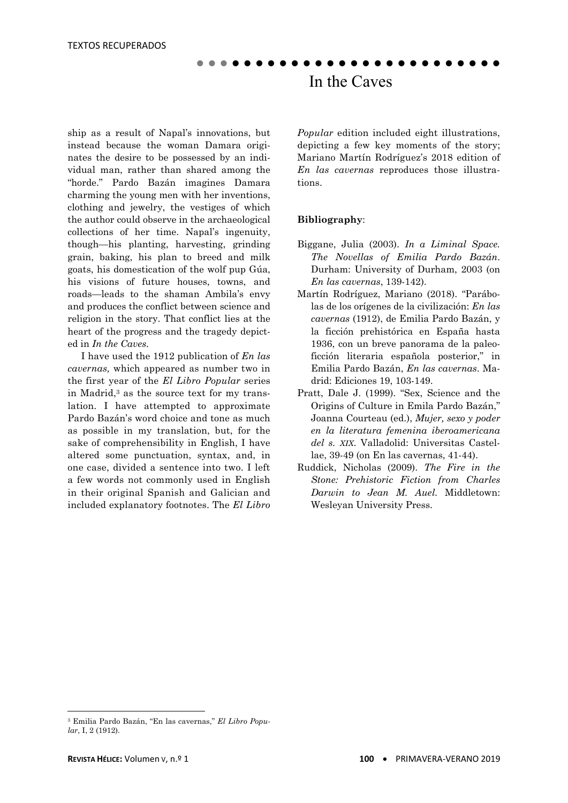ship as a result of Napal's innovations, but instead because the woman Damara originates the desire to be possessed by an individual man, rather than shared among the "horde." Pardo Bazán imagines Damara charming the young men with her inventions, clothing and jewelry, the vestiges of which the author could observe in the archaeological collections of her time. Napal's ingenuity, though—his planting, harvesting, grinding grain, baking, his plan to breed and milk goats, his domestication of the wolf pup Gúa, his visions of future houses, towns, and roads—leads to the shaman Ambila's envy and produces the conflict between science and religion in the story. That conflict lies at the heart of the progress and the tragedy depicted in *In the Caves.*

 I have used the 1912 publication of *En las cavernas,* which appeared as number two in the first year of the *El Libro Popular* series in Madrid,3 as the source text for my translation. I have attempted to approximate Pardo Bazán's word choice and tone as much as possible in my translation, but, for the sake of comprehensibility in English, I have altered some punctuation, syntax, and, in one case, divided a sentence into two. I left a few words not commonly used in English in their original Spanish and Galician and included explanatory footnotes. The *El Libro*  *Popular* edition included eight illustrations, depicting a few key moments of the story; Mariano Martín Rodríguez's 2018 edition of *En las cavernas* reproduces those illustrations.

#### **Bibliography**:

- Biggane, Julia (2003). *In a Liminal Space. The Novellas of Emilia Pardo Bazán*. Durham: University of Durham, 2003 (on *En las cavernas*, 139-142).
- Martín Rodríguez, Mariano (2018). "Parábolas de los orígenes de la civilización: *En las cavernas* (1912), de Emilia Pardo Bazán, y la ficción prehistórica en España hasta 1936, con un breve panorama de la paleoficción literaria española posterior," in Emilia Pardo Bazán, *En las cavernas*. Madrid: Ediciones 19, 103-149.
- Pratt, Dale J. (1999). "Sex, Science and the Origins of Culture in Emila Pardo Bazán," Joanna Courteau (ed.), *Mujer, sexo y poder en la literatura femenina iberoamericana del s. XIX*. Valladolid: Universitas Castellae, 39-49 (on En las cavernas, 41-44).
- Ruddick, Nicholas (2009). *The Fire in the Stone: Prehistoric Fiction from Charles Darwin to Jean M. Auel.* Middletown: Wesleyan University Press.

**.** 

<sup>3</sup> Emilia Pardo Bazán, "En las cavernas," *El Libro Popular*, I, 2 (1912).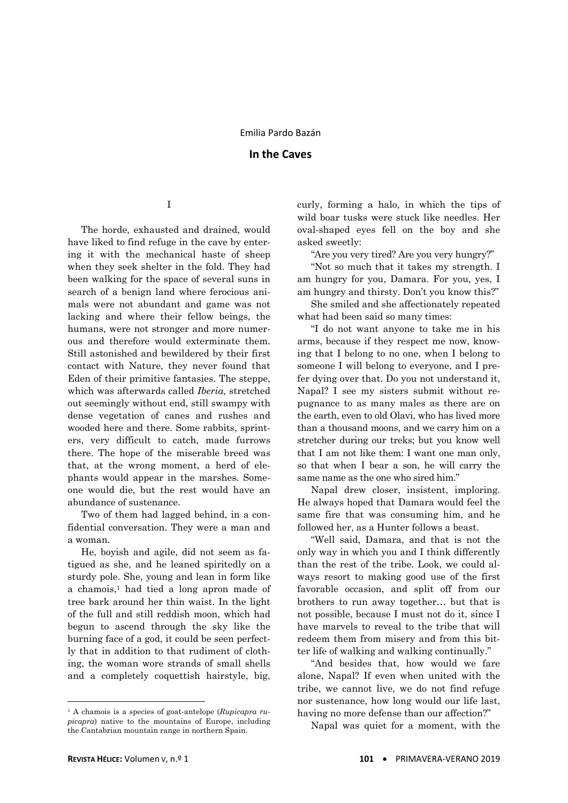I

 The horde, exhausted and drained, would have liked to find refuge in the cave by entering it with the mechanical haste of sheep when they seek shelter in the fold. They had been walking for the space of several suns in search of a benign land where ferocious animals were not abundant and game was not lacking and where their fellow beings, the humans, were not stronger and more numerous and therefore would exterminate them. Still astonished and bewildered by their first contact with Nature, they never found that Eden of their primitive fantasies. The steppe, which was afterwards called *Iberia,* stretched out seemingly without end, still swampy with dense vegetation of canes and rushes and wooded here and there. Some rabbits, sprinters, very difficult to catch, made furrows there. The hope of the miserable breed was that, at the wrong moment, a herd of elephants would appear in the marshes. Someone would die, but the rest would have an abundance of sustenance.

 Two of them had lagged behind, in a confidential conversation. They were a man and a woman.

 He, boyish and agile, did not seem as fatigued as she, and he leaned spiritedly on a sturdy pole. She, young and lean in form like a chamois,<sup>1</sup> had tied a long apron made of tree bark around her thin waist. In the light of the full and still reddish moon, which had begun to ascend through the sky like the burning face of a god, it could be seen perfectly that in addition to that rudiment of clothing, the woman wore strands of small shells and a completely coquettish hairstyle, big,

curly, forming a halo, in which the tips of wild boar tusks were stuck like needles. Her oval-shaped eyes fell on the boy and she asked sweetly:

"Are you very tired? Are you very hungry?"

 "Not so much that it takes my strength. I am hungry for you, Damara. For you, yes, I am hungry and thirsty. Don't you know this?"

 She smiled and she affectionately repeated what had been said so many times:

 "I do not want anyone to take me in his arms, because if they respect me now, knowing that I belong to no one, when I belong to someone I will belong to everyone, and I prefer dying over that. Do you not understand it, Napal? I see my sisters submit without repugnance to as many males as there are on the earth, even to old Olavi, who has lived more than a thousand moons, and we carry him on a stretcher during our treks; but you know well that I am not like them: I want one man only, so that when I bear a son, he will carry the same name as the one who sired him."

 Napal drew closer, insistent, imploring. He always hoped that Damara would feel the same fire that was consuming him, and he followed her, as a Hunter follows a beast.

 "Well said, Damara, and that is not the only way in which you and I think differently than the rest of the tribe. Look, we could always resort to making good use of the first favorable occasion, and split off from our brothers to run away together… but that is not possible, because I must not do it, since I have marvels to reveal to the tribe that will redeem them from misery and from this bitter life of walking and walking continually."

 "And besides that, how would we fare alone, Napal? If even when united with the tribe, we cannot live, we do not find refuge nor sustenance, how long would our life last, having no more defense than our affection?"

Napal was quiet for a moment, with the

1

<sup>1</sup> A chamois is a species of goat-antelope (*Rupicapra rupicapra*) native to the mountains of Europe, including the Cantabrian mountain range in northern Spain.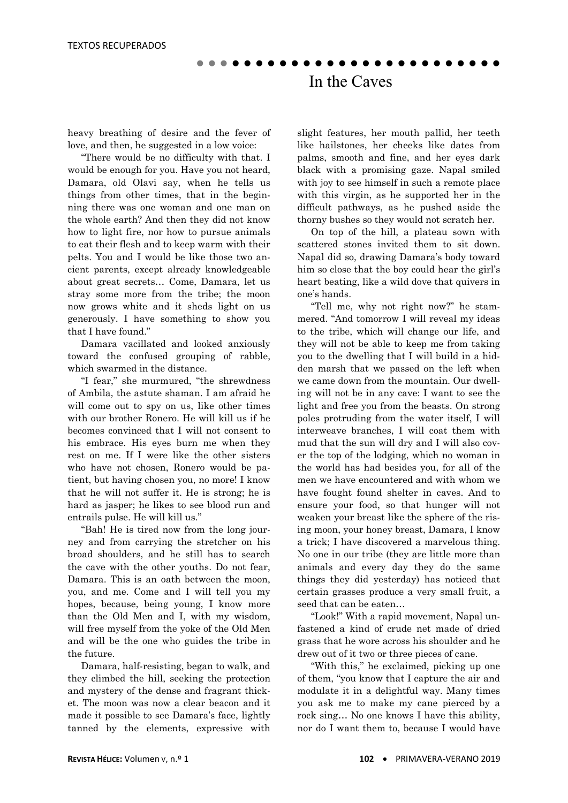heavy breathing of desire and the fever of love, and then, he suggested in a low voice:

 "There would be no difficulty with that. I would be enough for you. Have you not heard, Damara, old Olavi say, when he tells us things from other times, that in the beginning there was one woman and one man on the whole earth? And then they did not know how to light fire, nor how to pursue animals to eat their flesh and to keep warm with their pelts. You and I would be like those two ancient parents, except already knowledgeable about great secrets… Come, Damara, let us stray some more from the tribe; the moon now grows white and it sheds light on us generously. I have something to show you that I have found."

 Damara vacillated and looked anxiously toward the confused grouping of rabble, which swarmed in the distance.

 "I fear," she murmured, "the shrewdness of Ambila, the astute shaman. I am afraid he will come out to spy on us, like other times with our brother Ronero. He will kill us if he becomes convinced that I will not consent to his embrace. His eyes burn me when they rest on me. If I were like the other sisters who have not chosen, Ronero would be patient, but having chosen you, no more! I know that he will not suffer it. He is strong; he is hard as jasper; he likes to see blood run and entrails pulse. He will kill us."

 "Bah! He is tired now from the long journey and from carrying the stretcher on his broad shoulders, and he still has to search the cave with the other youths. Do not fear, Damara. This is an oath between the moon, you, and me. Come and I will tell you my hopes, because, being young, I know more than the Old Men and I, with my wisdom, will free myself from the yoke of the Old Men and will be the one who guides the tribe in the future.

 Damara, half-resisting, began to walk, and they climbed the hill, seeking the protection and mystery of the dense and fragrant thicket. The moon was now a clear beacon and it made it possible to see Damara's face, lightly tanned by the elements, expressive with slight features, her mouth pallid, her teeth like hailstones, her cheeks like dates from palms, smooth and fine, and her eyes dark black with a promising gaze. Napal smiled with joy to see himself in such a remote place with this virgin, as he supported her in the difficult pathways, as he pushed aside the thorny bushes so they would not scratch her.

 On top of the hill, a plateau sown with scattered stones invited them to sit down. Napal did so, drawing Damara's body toward him so close that the boy could hear the girl's heart beating, like a wild dove that quivers in one's hands.

 "Tell me, why not right now?" he stammered. "And tomorrow I will reveal my ideas to the tribe, which will change our life, and they will not be able to keep me from taking you to the dwelling that I will build in a hidden marsh that we passed on the left when we came down from the mountain. Our dwelling will not be in any cave: I want to see the light and free you from the beasts. On strong poles protruding from the water itself, I will interweave branches, I will coat them with mud that the sun will dry and I will also cover the top of the lodging, which no woman in the world has had besides you, for all of the men we have encountered and with whom we have fought found shelter in caves. And to ensure your food, so that hunger will not weaken your breast like the sphere of the rising moon, your honey breast, Damara, I know a trick; I have discovered a marvelous thing. No one in our tribe (they are little more than animals and every day they do the same things they did yesterday) has noticed that certain grasses produce a very small fruit, a seed that can be eaten…

 "Look!" With a rapid movement, Napal unfastened a kind of crude net made of dried grass that he wore across his shoulder and he drew out of it two or three pieces of cane.

 "With this," he exclaimed, picking up one of them, "you know that I capture the air and modulate it in a delightful way. Many times you ask me to make my cane pierced by a rock sing… No one knows I have this ability, nor do I want them to, because I would have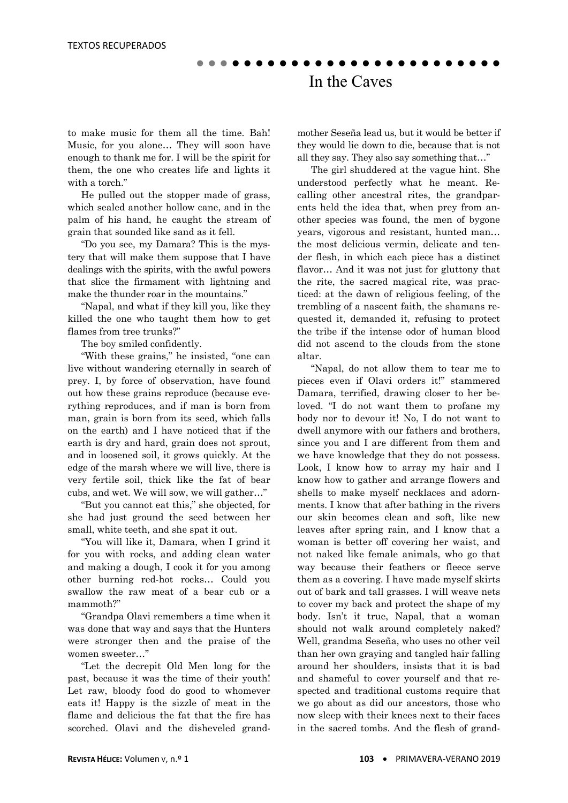to make music for them all the time. Bah! Music, for you alone… They will soon have enough to thank me for. I will be the spirit for them, the one who creates life and lights it with a torch."

 He pulled out the stopper made of grass, which sealed another hollow cane, and in the palm of his hand, he caught the stream of grain that sounded like sand as it fell.

 "Do you see, my Damara? This is the mystery that will make them suppose that I have dealings with the spirits, with the awful powers that slice the firmament with lightning and make the thunder roar in the mountains."

 "Napal, and what if they kill you, like they killed the one who taught them how to get flames from tree trunks?"

The boy smiled confidently.

 "With these grains," he insisted, "one can live without wandering eternally in search of prey. I, by force of observation, have found out how these grains reproduce (because everything reproduces, and if man is born from man, grain is born from its seed, which falls on the earth) and I have noticed that if the earth is dry and hard, grain does not sprout, and in loosened soil, it grows quickly. At the edge of the marsh where we will live, there is very fertile soil, thick like the fat of bear cubs, and wet. We will sow, we will gather…"

 "But you cannot eat this," she objected, for she had just ground the seed between her small, white teeth, and she spat it out.

 "You will like it, Damara, when I grind it for you with rocks, and adding clean water and making a dough, I cook it for you among other burning red-hot rocks… Could you swallow the raw meat of a bear cub or a mammoth?"

 "Grandpa Olavi remembers a time when it was done that way and says that the Hunters were stronger then and the praise of the women sweeter…"

 "Let the decrepit Old Men long for the past, because it was the time of their youth! Let raw, bloody food do good to whomever eats it! Happy is the sizzle of meat in the flame and delicious the fat that the fire has scorched. Olavi and the disheveled grandmother Seseña lead us, but it would be better if they would lie down to die, because that is not all they say. They also say something that…"

 The girl shuddered at the vague hint. She understood perfectly what he meant. Recalling other ancestral rites, the grandparents held the idea that, when prey from another species was found, the men of bygone years, vigorous and resistant, hunted man… the most delicious vermin, delicate and tender flesh, in which each piece has a distinct flavor… And it was not just for gluttony that the rite, the sacred magical rite, was practiced: at the dawn of religious feeling, of the trembling of a nascent faith, the shamans requested it, demanded it, refusing to protect the tribe if the intense odor of human blood did not ascend to the clouds from the stone altar.

 "Napal, do not allow them to tear me to pieces even if Olavi orders it!" stammered Damara, terrified, drawing closer to her beloved. "I do not want them to profane my body nor to devour it! No, I do not want to dwell anymore with our fathers and brothers, since you and I are different from them and we have knowledge that they do not possess. Look, I know how to array my hair and I know how to gather and arrange flowers and shells to make myself necklaces and adornments. I know that after bathing in the rivers our skin becomes clean and soft, like new leaves after spring rain, and I know that a woman is better off covering her waist, and not naked like female animals, who go that way because their feathers or fleece serve them as a covering. I have made myself skirts out of bark and tall grasses. I will weave nets to cover my back and protect the shape of my body. Isn't it true, Napal, that a woman should not walk around completely naked? Well, grandma Seseña, who uses no other veil than her own graying and tangled hair falling around her shoulders, insists that it is bad and shameful to cover yourself and that respected and traditional customs require that we go about as did our ancestors, those who now sleep with their knees next to their faces in the sacred tombs. And the flesh of grand-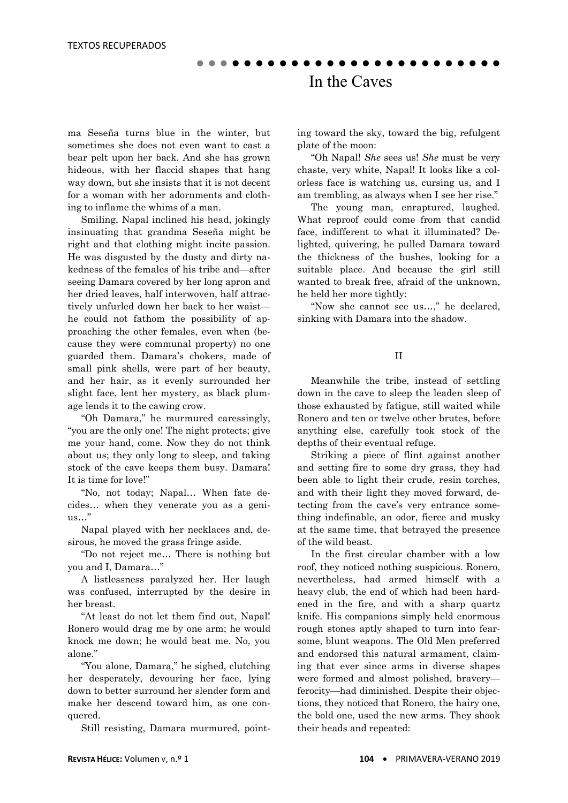ma Seseña turns blue in the winter, but sometimes she does not even want to cast a bear pelt upon her back. And she has grown hideous, with her flaccid shapes that hang way down, but she insists that it is not decent for a woman with her adornments and clothing to inflame the whims of a man.

 Smiling, Napal inclined his head, jokingly insinuating that grandma Seseña might be right and that clothing might incite passion. He was disgusted by the dusty and dirty nakedness of the females of his tribe and—after seeing Damara covered by her long apron and her dried leaves, half interwoven, half attractively unfurled down her back to her waist he could not fathom the possibility of approaching the other females, even when (because they were communal property) no one guarded them. Damara's chokers, made of small pink shells, were part of her beauty, and her hair, as it evenly surrounded her slight face, lent her mystery, as black plumage lends it to the cawing crow.

 "Oh Damara," he murmured caressingly, "you are the only one! The night protects; give me your hand, come. Now they do not think about us; they only long to sleep, and taking stock of the cave keeps them busy. Damara! It is time for love!"

 "No, not today; Napal… When fate decides… when they venerate you as a genius…"

 Napal played with her necklaces and, desirous, he moved the grass fringe aside.

 "Do not reject me… There is nothing but you and I, Damara…"

 A listlessness paralyzed her. Her laugh was confused, interrupted by the desire in her breast.

 "At least do not let them find out, Napal! Ronero would drag me by one arm; he would knock me down; he would beat me. No, you alone."

 "You alone, Damara," he sighed, clutching her desperately, devouring her face, lying down to better surround her slender form and make her descend toward him, as one conquered.

Still resisting, Damara murmured, point-

ing toward the sky, toward the big, refulgent plate of the moon:

 "Oh Napal! *She* sees us! *She* must be very chaste, very white, Napal! It looks like a colorless face is watching us, cursing us, and I am trembling, as always when I see her rise."

 The young man, enraptured, laughed. What reproof could come from that candid face, indifferent to what it illuminated? Delighted, quivering, he pulled Damara toward the thickness of the bushes, looking for a suitable place. And because the girl still wanted to break free, afraid of the unknown, he held her more tightly:

 "Now she cannot see us…," he declared, sinking with Damara into the shadow.

II

 Meanwhile the tribe, instead of settling down in the cave to sleep the leaden sleep of those exhausted by fatigue, still waited while Ronero and ten or twelve other brutes, before anything else, carefully took stock of the depths of their eventual refuge.

 Striking a piece of flint against another and setting fire to some dry grass, they had been able to light their crude, resin torches, and with their light they moved forward, detecting from the cave's very entrance something indefinable, an odor, fierce and musky at the same time, that betrayed the presence of the wild beast.

 In the first circular chamber with a low roof, they noticed nothing suspicious. Ronero, nevertheless, had armed himself with a heavy club, the end of which had been hardened in the fire, and with a sharp quartz knife. His companions simply held enormous rough stones aptly shaped to turn into fearsome, blunt weapons. The Old Men preferred and endorsed this natural armament, claiming that ever since arms in diverse shapes were formed and almost polished, bravery ferocity—had diminished. Despite their objections, they noticed that Ronero, the hairy one, the bold one, used the new arms. They shook their heads and repeated: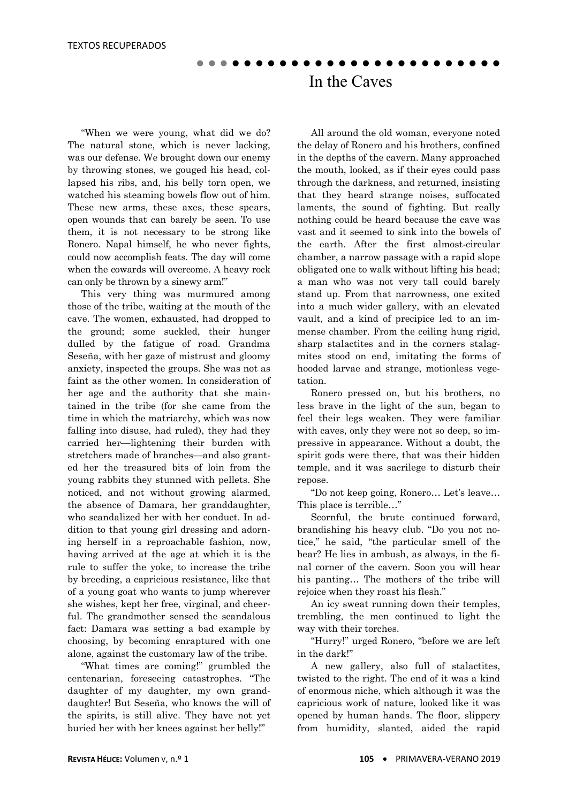"When we were young, what did we do? The natural stone, which is never lacking, was our defense. We brought down our enemy by throwing stones, we gouged his head, collapsed his ribs, and, his belly torn open, we watched his steaming bowels flow out of him. These new arms, these axes, these spears, open wounds that can barely be seen. To use them, it is not necessary to be strong like Ronero. Napal himself, he who never fights, could now accomplish feats. The day will come when the cowards will overcome. A heavy rock can only be thrown by a sinewy arm!"

 This very thing was murmured among those of the tribe, waiting at the mouth of the cave. The women, exhausted, had dropped to the ground; some suckled, their hunger dulled by the fatigue of road. Grandma Seseña, with her gaze of mistrust and gloomy anxiety, inspected the groups. She was not as faint as the other women. In consideration of her age and the authority that she maintained in the tribe (for she came from the time in which the matriarchy, which was now falling into disuse, had ruled), they had they carried her—lightening their burden with stretchers made of branches—and also granted her the treasured bits of loin from the young rabbits they stunned with pellets. She noticed, and not without growing alarmed, the absence of Damara, her granddaughter, who scandalized her with her conduct. In addition to that young girl dressing and adorning herself in a reproachable fashion, now, having arrived at the age at which it is the rule to suffer the yoke, to increase the tribe by breeding, a capricious resistance, like that of a young goat who wants to jump wherever she wishes, kept her free, virginal, and cheerful. The grandmother sensed the scandalous fact: Damara was setting a bad example by choosing, by becoming enraptured with one alone, against the customary law of the tribe.

 "What times are coming!" grumbled the centenarian, foreseeing catastrophes. "The daughter of my daughter, my own granddaughter! But Seseña, who knows the will of the spirits, is still alive. They have not yet buried her with her knees against her belly!"

 All around the old woman, everyone noted the delay of Ronero and his brothers, confined in the depths of the cavern. Many approached the mouth, looked, as if their eyes could pass through the darkness, and returned, insisting that they heard strange noises, suffocated laments, the sound of fighting. But really nothing could be heard because the cave was vast and it seemed to sink into the bowels of the earth. After the first almost-circular chamber, a narrow passage with a rapid slope obligated one to walk without lifting his head; a man who was not very tall could barely stand up. From that narrowness, one exited into a much wider gallery, with an elevated vault, and a kind of precipice led to an immense chamber. From the ceiling hung rigid, sharp stalactites and in the corners stalagmites stood on end, imitating the forms of hooded larvae and strange, motionless vegetation.

 Ronero pressed on, but his brothers, no less brave in the light of the sun, began to feel their legs weaken. They were familiar with caves, only they were not so deep, so impressive in appearance. Without a doubt, the spirit gods were there, that was their hidden temple, and it was sacrilege to disturb their repose.

 "Do not keep going, Ronero… Let's leave… This place is terrible…"

 Scornful, the brute continued forward, brandishing his heavy club. "Do you not notice," he said, "the particular smell of the bear? He lies in ambush, as always, in the final corner of the cavern. Soon you will hear his panting… The mothers of the tribe will rejoice when they roast his flesh."

 An icy sweat running down their temples, trembling, the men continued to light the way with their torches.

 "Hurry!" urged Ronero, "before we are left in the dark!"

 A new gallery, also full of stalactites, twisted to the right. The end of it was a kind of enormous niche, which although it was the capricious work of nature, looked like it was opened by human hands. The floor, slippery from humidity, slanted, aided the rapid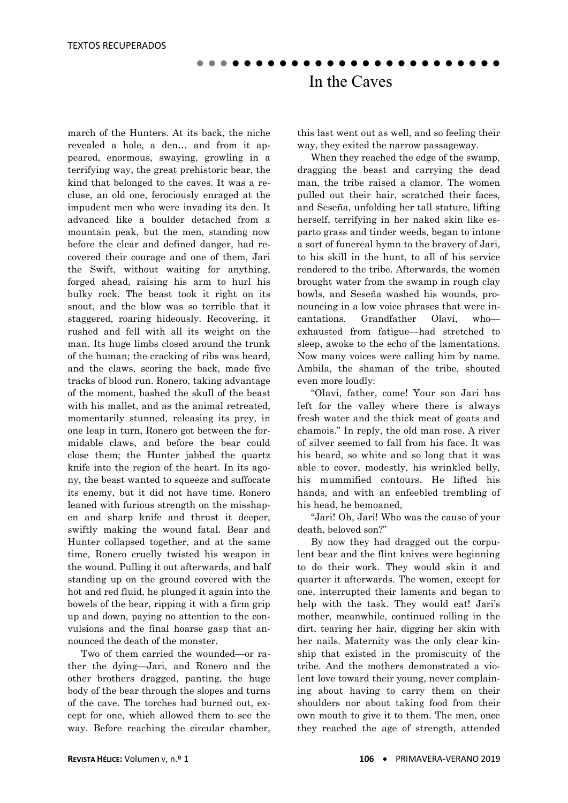march of the Hunters. At its back, the niche revealed a hole, a den… and from it appeared, enormous, swaying, growling in a terrifying way, the great prehistoric bear, the kind that belonged to the caves. It was a recluse, an old one, ferociously enraged at the impudent men who were invading its den. It advanced like a boulder detached from a mountain peak, but the men, standing now before the clear and defined danger, had recovered their courage and one of them, Jari the Swift, without waiting for anything, forged ahead, raising his arm to hurl his bulky rock. The beast took it right on its snout, and the blow was so terrible that it staggered, roaring hideously. Recovering, it rushed and fell with all its weight on the man. Its huge limbs closed around the trunk of the human; the cracking of ribs was heard, and the claws, scoring the back, made five tracks of blood run. Ronero, taking advantage of the moment, bashed the skull of the beast with his mallet, and as the animal retreated, momentarily stunned, releasing its prey, in one leap in turn, Ronero got between the formidable claws, and before the bear could close them; the Hunter jabbed the quartz knife into the region of the heart. In its agony, the beast wanted to squeeze and suffocate its enemy, but it did not have time. Ronero leaned with furious strength on the misshapen and sharp knife and thrust it deeper, swiftly making the wound fatal. Bear and Hunter collapsed together, and at the same time, Ronero cruelly twisted his weapon in the wound. Pulling it out afterwards, and half standing up on the ground covered with the hot and red fluid, he plunged it again into the bowels of the bear, ripping it with a firm grip up and down, paying no attention to the convulsions and the final hoarse gasp that announced the death of the monster.

 Two of them carried the wounded—or rather the dying—Jari, and Ronero and the other brothers dragged, panting, the huge body of the bear through the slopes and turns of the cave. The torches had burned out, except for one, which allowed them to see the way. Before reaching the circular chamber, this last went out as well, and so feeling their way, they exited the narrow passageway.

 When they reached the edge of the swamp, dragging the beast and carrying the dead man, the tribe raised a clamor. The women pulled out their hair, scratched their faces, and Seseña, unfolding her tall stature, lifting herself, terrifying in her naked skin like esparto grass and tinder weeds, began to intone a sort of funereal hymn to the bravery of Jari, to his skill in the hunt, to all of his service rendered to the tribe. Afterwards, the women brought water from the swamp in rough clay bowls, and Seseña washed his wounds, pronouncing in a low voice phrases that were incantations. Grandfather Olavi, who exhausted from fatigue—had stretched to sleep, awoke to the echo of the lamentations. Now many voices were calling him by name. Ambila, the shaman of the tribe, shouted even more loudly:

 "Olavi, father, come! Your son Jari has left for the valley where there is always fresh water and the thick meat of goats and chamois." In reply, the old man rose. A river of silver seemed to fall from his face. It was his beard, so white and so long that it was able to cover, modestly, his wrinkled belly, his mummified contours. He lifted his hands, and with an enfeebled trembling of his head, he bemoaned,

 "Jari! Oh, Jari! Who was the cause of your death, beloved son?"

 By now they had dragged out the corpulent bear and the flint knives were beginning to do their work. They would skin it and quarter it afterwards. The women, except for one, interrupted their laments and began to help with the task. They would eat! Jari's mother, meanwhile, continued rolling in the dirt, tearing her hair, digging her skin with her nails. Maternity was the only clear kinship that existed in the promiscuity of the tribe. And the mothers demonstrated a violent love toward their young, never complaining about having to carry them on their shoulders nor about taking food from their own mouth to give it to them. The men, once they reached the age of strength, attended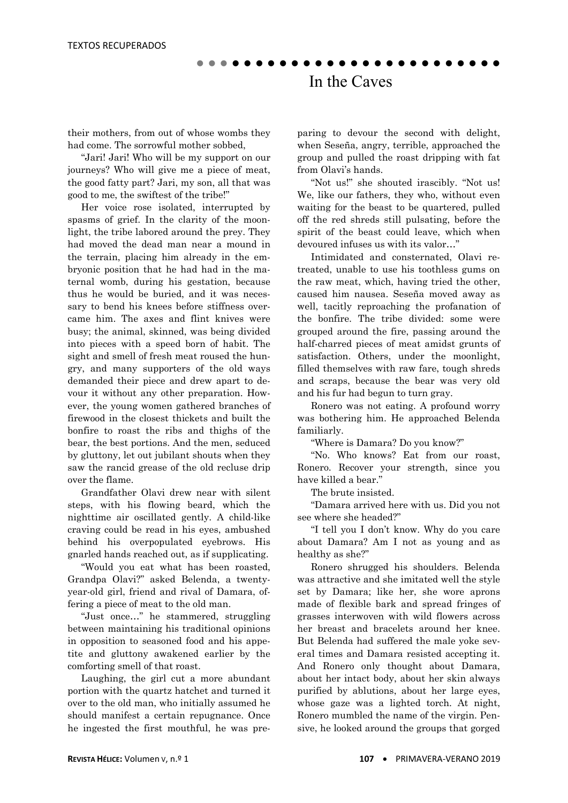their mothers, from out of whose wombs they had come. The sorrowful mother sobbed,

 "Jari! Jari! Who will be my support on our journeys? Who will give me a piece of meat, the good fatty part? Jari, my son, all that was good to me, the swiftest of the tribe!"

 Her voice rose isolated, interrupted by spasms of grief. In the clarity of the moonlight, the tribe labored around the prey. They had moved the dead man near a mound in the terrain, placing him already in the embryonic position that he had had in the maternal womb, during his gestation, because thus he would be buried, and it was necessary to bend his knees before stiffness overcame him. The axes and flint knives were busy; the animal, skinned, was being divided into pieces with a speed born of habit. The sight and smell of fresh meat roused the hungry, and many supporters of the old ways demanded their piece and drew apart to devour it without any other preparation. However, the young women gathered branches of firewood in the closest thickets and built the bonfire to roast the ribs and thighs of the bear, the best portions. And the men, seduced by gluttony, let out jubilant shouts when they saw the rancid grease of the old recluse drip over the flame.

 Grandfather Olavi drew near with silent steps, with his flowing beard, which the nighttime air oscillated gently. A child-like craving could be read in his eyes, ambushed behind his overpopulated eyebrows. His gnarled hands reached out, as if supplicating.

 "Would you eat what has been roasted, Grandpa Olavi?" asked Belenda, a twentyyear-old girl, friend and rival of Damara, offering a piece of meat to the old man.

 "Just once…" he stammered, struggling between maintaining his traditional opinions in opposition to seasoned food and his appetite and gluttony awakened earlier by the comforting smell of that roast.

 Laughing, the girl cut a more abundant portion with the quartz hatchet and turned it over to the old man, who initially assumed he should manifest a certain repugnance. Once he ingested the first mouthful, he was preparing to devour the second with delight, when Seseña, angry, terrible, approached the group and pulled the roast dripping with fat from Olavi's hands.

 "Not us!" she shouted irascibly. "Not us! We, like our fathers, they who, without even waiting for the beast to be quartered, pulled off the red shreds still pulsating, before the spirit of the beast could leave, which when devoured infuses us with its valor…"

 Intimidated and consternated, Olavi retreated, unable to use his toothless gums on the raw meat, which, having tried the other, caused him nausea. Seseña moved away as well, tacitly reproaching the profanation of the bonfire. The tribe divided: some were grouped around the fire, passing around the half-charred pieces of meat amidst grunts of satisfaction. Others, under the moonlight, filled themselves with raw fare, tough shreds and scraps, because the bear was very old and his fur had begun to turn gray.

 Ronero was not eating. A profound worry was bothering him. He approached Belenda familiarly.

"Where is Damara? Do you know?"

 "No. Who knows? Eat from our roast, Ronero. Recover your strength, since you have killed a bear."

The brute insisted.

 "Damara arrived here with us. Did you not see where she headed?"

 "I tell you I don't know. Why do you care about Damara? Am I not as young and as healthy as she?"

 Ronero shrugged his shoulders. Belenda was attractive and she imitated well the style set by Damara; like her, she wore aprons made of flexible bark and spread fringes of grasses interwoven with wild flowers across her breast and bracelets around her knee. But Belenda had suffered the male yoke several times and Damara resisted accepting it. And Ronero only thought about Damara, about her intact body, about her skin always purified by ablutions, about her large eyes, whose gaze was a lighted torch. At night, Ronero mumbled the name of the virgin. Pensive, he looked around the groups that gorged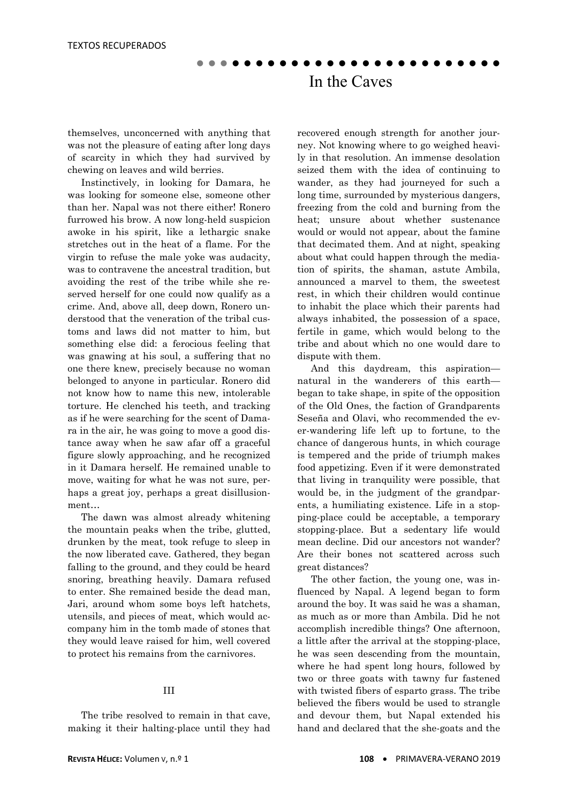themselves, unconcerned with anything that was not the pleasure of eating after long days of scarcity in which they had survived by chewing on leaves and wild berries.

 Instinctively, in looking for Damara, he was looking for someone else, someone other than her. Napal was not there either! Ronero furrowed his brow. A now long-held suspicion awoke in his spirit, like a lethargic snake stretches out in the heat of a flame. For the virgin to refuse the male yoke was audacity, was to contravene the ancestral tradition, but avoiding the rest of the tribe while she reserved herself for one could now qualify as a crime. And, above all, deep down, Ronero understood that the veneration of the tribal customs and laws did not matter to him, but something else did: a ferocious feeling that was gnawing at his soul, a suffering that no one there knew, precisely because no woman belonged to anyone in particular. Ronero did not know how to name this new, intolerable torture. He clenched his teeth, and tracking as if he were searching for the scent of Damara in the air, he was going to move a good distance away when he saw afar off a graceful figure slowly approaching, and he recognized in it Damara herself. He remained unable to move, waiting for what he was not sure, perhaps a great joy, perhaps a great disillusionment…

 The dawn was almost already whitening the mountain peaks when the tribe, glutted, drunken by the meat, took refuge to sleep in the now liberated cave. Gathered, they began falling to the ground, and they could be heard snoring, breathing heavily. Damara refused to enter. She remained beside the dead man, Jari, around whom some boys left hatchets, utensils, and pieces of meat, which would accompany him in the tomb made of stones that they would leave raised for him, well covered to protect his remains from the carnivores.

#### III

 The tribe resolved to remain in that cave, making it their halting-place until they had recovered enough strength for another journey. Not knowing where to go weighed heavily in that resolution. An immense desolation seized them with the idea of continuing to wander, as they had journeyed for such a long time, surrounded by mysterious dangers, freezing from the cold and burning from the heat; unsure about whether sustenance would or would not appear, about the famine that decimated them. And at night, speaking about what could happen through the mediation of spirits, the shaman, astute Ambila, announced a marvel to them, the sweetest rest, in which their children would continue to inhabit the place which their parents had always inhabited, the possession of a space, fertile in game, which would belong to the tribe and about which no one would dare to dispute with them.

 And this daydream, this aspiration natural in the wanderers of this earth began to take shape, in spite of the opposition of the Old Ones, the faction of Grandparents Seseña and Olavi, who recommended the ever-wandering life left up to fortune, to the chance of dangerous hunts, in which courage is tempered and the pride of triumph makes food appetizing. Even if it were demonstrated that living in tranquility were possible, that would be, in the judgment of the grandparents, a humiliating existence. Life in a stopping-place could be acceptable, a temporary stopping-place. But a sedentary life would mean decline. Did our ancestors not wander? Are their bones not scattered across such great distances?

 The other faction, the young one, was influenced by Napal. A legend began to form around the boy. It was said he was a shaman, as much as or more than Ambila. Did he not accomplish incredible things? One afternoon, a little after the arrival at the stopping-place, he was seen descending from the mountain, where he had spent long hours, followed by two or three goats with tawny fur fastened with twisted fibers of esparto grass. The tribe believed the fibers would be used to strangle and devour them, but Napal extended his hand and declared that the she-goats and the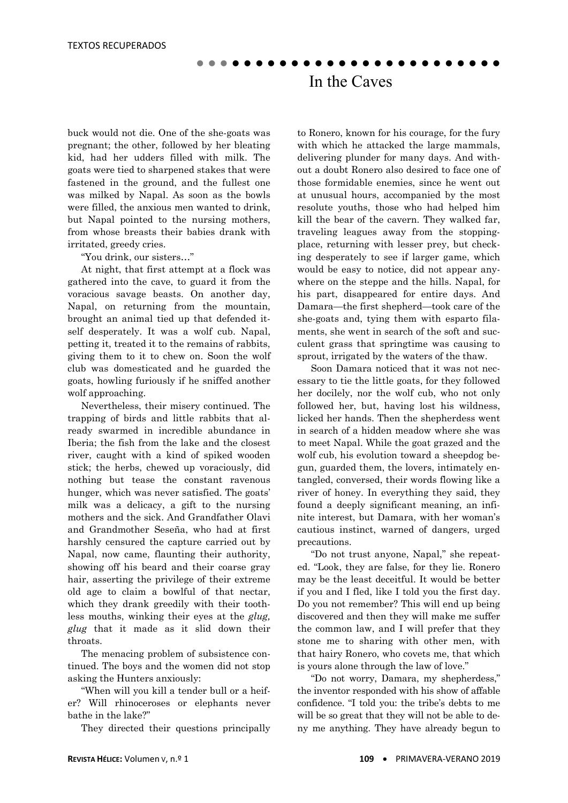buck would not die. One of the she-goats was pregnant; the other, followed by her bleating kid, had her udders filled with milk. The goats were tied to sharpened stakes that were fastened in the ground, and the fullest one was milked by Napal. As soon as the bowls were filled, the anxious men wanted to drink, but Napal pointed to the nursing mothers, from whose breasts their babies drank with irritated, greedy cries.

"You drink, our sisters…"

 At night, that first attempt at a flock was gathered into the cave, to guard it from the voracious savage beasts. On another day, Napal, on returning from the mountain, brought an animal tied up that defended itself desperately. It was a wolf cub. Napal, petting it, treated it to the remains of rabbits, giving them to it to chew on. Soon the wolf club was domesticated and he guarded the goats, howling furiously if he sniffed another wolf approaching.

 Nevertheless, their misery continued. The trapping of birds and little rabbits that already swarmed in incredible abundance in Iberia; the fish from the lake and the closest river, caught with a kind of spiked wooden stick; the herbs, chewed up voraciously, did nothing but tease the constant ravenous hunger, which was never satisfied. The goats' milk was a delicacy, a gift to the nursing mothers and the sick. And Grandfather Olavi and Grandmother Seseña, who had at first harshly censured the capture carried out by Napal, now came, flaunting their authority, showing off his beard and their coarse gray hair, asserting the privilege of their extreme old age to claim a bowlful of that nectar, which they drank greedily with their toothless mouths, winking their eyes at the *glug, glug* that it made as it slid down their throats.

 The menacing problem of subsistence continued. The boys and the women did not stop asking the Hunters anxiously:

 "When will you kill a tender bull or a heifer? Will rhinoceroses or elephants never bathe in the lake?"

They directed their questions principally

to Ronero, known for his courage, for the fury with which he attacked the large mammals, delivering plunder for many days. And without a doubt Ronero also desired to face one of those formidable enemies, since he went out at unusual hours, accompanied by the most resolute youths, those who had helped him kill the bear of the cavern. They walked far, traveling leagues away from the stoppingplace, returning with lesser prey, but checking desperately to see if larger game, which would be easy to notice, did not appear anywhere on the steppe and the hills. Napal, for his part, disappeared for entire days. And Damara—the first shepherd—took care of the she-goats and, tying them with esparto filaments, she went in search of the soft and succulent grass that springtime was causing to sprout, irrigated by the waters of the thaw.

 Soon Damara noticed that it was not necessary to tie the little goats, for they followed her docilely, nor the wolf cub, who not only followed her, but, having lost his wildness, licked her hands. Then the shepherdess went in search of a hidden meadow where she was to meet Napal. While the goat grazed and the wolf cub, his evolution toward a sheepdog begun, guarded them, the lovers, intimately entangled, conversed, their words flowing like a river of honey. In everything they said, they found a deeply significant meaning, an infinite interest, but Damara, with her woman's cautious instinct, warned of dangers, urged precautions.

 "Do not trust anyone, Napal," she repeated. "Look, they are false, for they lie. Ronero may be the least deceitful. It would be better if you and I fled, like I told you the first day. Do you not remember? This will end up being discovered and then they will make me suffer the common law, and I will prefer that they stone me to sharing with other men, with that hairy Ronero, who covets me, that which is yours alone through the law of love."

 "Do not worry, Damara, my shepherdess," the inventor responded with his show of affable confidence. "I told you: the tribe's debts to me will be so great that they will not be able to deny me anything. They have already begun to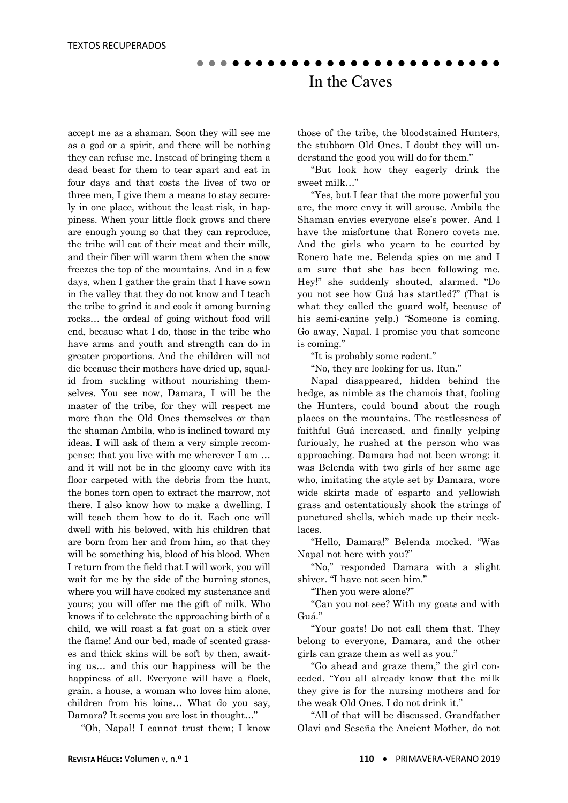accept me as a shaman. Soon they will see me as a god or a spirit, and there will be nothing they can refuse me. Instead of bringing them a dead beast for them to tear apart and eat in four days and that costs the lives of two or three men, I give them a means to stay securely in one place, without the least risk, in happiness. When your little flock grows and there are enough young so that they can reproduce, the tribe will eat of their meat and their milk, and their fiber will warm them when the snow freezes the top of the mountains. And in a few days, when I gather the grain that I have sown in the valley that they do not know and I teach the tribe to grind it and cook it among burning rocks… the ordeal of going without food will end, because what I do, those in the tribe who have arms and youth and strength can do in greater proportions. And the children will not die because their mothers have dried up, squalid from suckling without nourishing themselves. You see now, Damara, I will be the master of the tribe, for they will respect me more than the Old Ones themselves or than the shaman Ambila, who is inclined toward my ideas. I will ask of them a very simple recompense: that you live with me wherever I am … and it will not be in the gloomy cave with its floor carpeted with the debris from the hunt, the bones torn open to extract the marrow, not there. I also know how to make a dwelling. I will teach them how to do it. Each one will dwell with his beloved, with his children that are born from her and from him, so that they will be something his, blood of his blood. When I return from the field that I will work, you will wait for me by the side of the burning stones, where you will have cooked my sustenance and yours; you will offer me the gift of milk. Who knows if to celebrate the approaching birth of a child, we will roast a fat goat on a stick over the flame! And our bed, made of scented grasses and thick skins will be soft by then, awaiting us… and this our happiness will be the happiness of all. Everyone will have a flock, grain, a house, a woman who loves him alone, children from his loins… What do you say, Damara? It seems you are lost in thought…"

"Oh, Napal! I cannot trust them; I know

those of the tribe, the bloodstained Hunters, the stubborn Old Ones. I doubt they will understand the good you will do for them."

 "But look how they eagerly drink the sweet milk…"

 "Yes, but I fear that the more powerful you are, the more envy it will arouse. Ambila the Shaman envies everyone else's power. And I have the misfortune that Ronero covets me. And the girls who yearn to be courted by Ronero hate me. Belenda spies on me and I am sure that she has been following me. Hey!" she suddenly shouted, alarmed. "Do you not see how Guá has startled?" (That is what they called the guard wolf, because of his semi-canine yelp.) "Someone is coming. Go away, Napal. I promise you that someone is coming."

"It is probably some rodent."

"No, they are looking for us. Run."

 Napal disappeared, hidden behind the hedge, as nimble as the chamois that, fooling the Hunters, could bound about the rough places on the mountains. The restlessness of faithful Guá increased, and finally yelping furiously, he rushed at the person who was approaching. Damara had not been wrong: it was Belenda with two girls of her same age who, imitating the style set by Damara, wore wide skirts made of esparto and yellowish grass and ostentatiously shook the strings of punctured shells, which made up their necklaces.

 "Hello, Damara!" Belenda mocked. "Was Napal not here with you?"

 "No," responded Damara with a slight shiver. "I have not seen him."

"Then you were alone?"

 "Can you not see? With my goats and with Guá."

 "Your goats! Do not call them that. They belong to everyone, Damara, and the other girls can graze them as well as you."

 "Go ahead and graze them," the girl conceded. "You all already know that the milk they give is for the nursing mothers and for the weak Old Ones. I do not drink it."

 "All of that will be discussed. Grandfather Olavi and Seseña the Ancient Mother, do not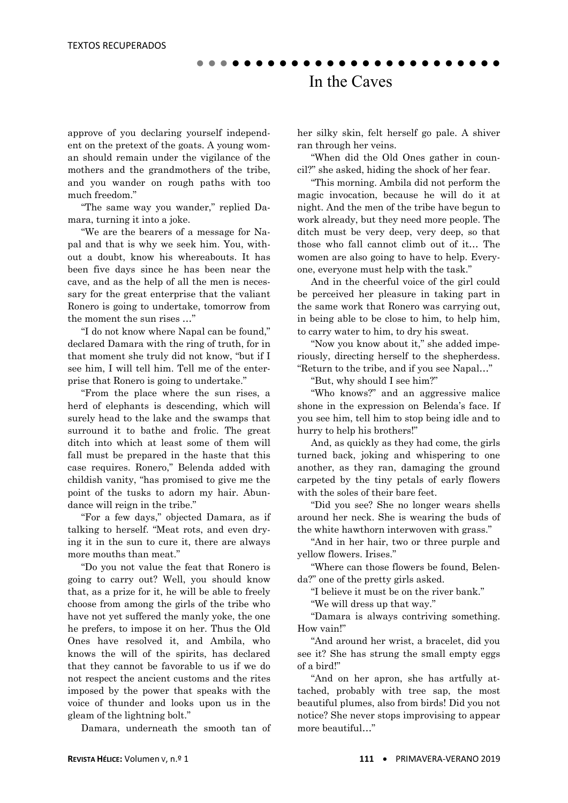approve of you declaring yourself independent on the pretext of the goats. A young woman should remain under the vigilance of the mothers and the grandmothers of the tribe, and you wander on rough paths with too much freedom."

 "The same way you wander," replied Damara, turning it into a joke.

 "We are the bearers of a message for Napal and that is why we seek him. You, without a doubt, know his whereabouts. It has been five days since he has been near the cave, and as the help of all the men is necessary for the great enterprise that the valiant Ronero is going to undertake, tomorrow from the moment the sun rises …"

 "I do not know where Napal can be found," declared Damara with the ring of truth, for in that moment she truly did not know, "but if I see him, I will tell him. Tell me of the enterprise that Ronero is going to undertake."

 "From the place where the sun rises, a herd of elephants is descending, which will surely head to the lake and the swamps that surround it to bathe and frolic. The great ditch into which at least some of them will fall must be prepared in the haste that this case requires. Ronero," Belenda added with childish vanity, "has promised to give me the point of the tusks to adorn my hair. Abundance will reign in the tribe."

 "For a few days," objected Damara, as if talking to herself. "Meat rots, and even drying it in the sun to cure it, there are always more mouths than meat."

 "Do you not value the feat that Ronero is going to carry out? Well, you should know that, as a prize for it, he will be able to freely choose from among the girls of the tribe who have not yet suffered the manly yoke, the one he prefers, to impose it on her. Thus the Old Ones have resolved it, and Ambila, who knows the will of the spirits, has declared that they cannot be favorable to us if we do not respect the ancient customs and the rites imposed by the power that speaks with the voice of thunder and looks upon us in the gleam of the lightning bolt."

Damara, underneath the smooth tan of

her silky skin, felt herself go pale. A shiver ran through her veins.

 "When did the Old Ones gather in council?" she asked, hiding the shock of her fear.

 "This morning. Ambila did not perform the magic invocation, because he will do it at night. And the men of the tribe have begun to work already, but they need more people. The ditch must be very deep, very deep, so that those who fall cannot climb out of it… The women are also going to have to help. Everyone, everyone must help with the task."

 And in the cheerful voice of the girl could be perceived her pleasure in taking part in the same work that Ronero was carrying out, in being able to be close to him, to help him, to carry water to him, to dry his sweat.

 "Now you know about it," she added imperiously, directing herself to the shepherdess. "Return to the tribe, and if you see Napal…"

"But, why should I see him?"

 "Who knows?" and an aggressive malice shone in the expression on Belenda's face. If you see him, tell him to stop being idle and to hurry to help his brothers!"

 And, as quickly as they had come, the girls turned back, joking and whispering to one another, as they ran, damaging the ground carpeted by the tiny petals of early flowers with the soles of their bare feet.

 "Did you see? She no longer wears shells around her neck. She is wearing the buds of the white hawthorn interwoven with grass."

 "And in her hair, two or three purple and yellow flowers. Irises."

 "Where can those flowers be found, Belenda?" one of the pretty girls asked.

"I believe it must be on the river bank."

"We will dress up that way."

 "Damara is always contriving something. How vain!"

 "And around her wrist, a bracelet, did you see it? She has strung the small empty eggs of a bird!"

 "And on her apron, she has artfully attached, probably with tree sap, the most beautiful plumes, also from birds! Did you not notice? She never stops improvising to appear more beautiful…"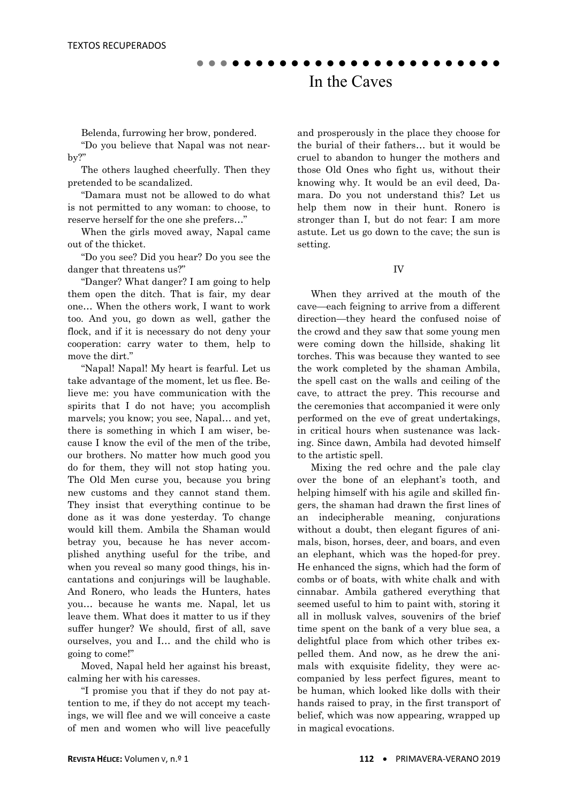Belenda, furrowing her brow, pondered.

 "Do you believe that Napal was not nearby?"

 The others laughed cheerfully. Then they pretended to be scandalized.

 "Damara must not be allowed to do what is not permitted to any woman: to choose, to reserve herself for the one she prefers…"

 When the girls moved away, Napal came out of the thicket.

 "Do you see? Did you hear? Do you see the danger that threatens us?"

 "Danger? What danger? I am going to help them open the ditch. That is fair, my dear one… When the others work, I want to work too. And you, go down as well, gather the flock, and if it is necessary do not deny your cooperation: carry water to them, help to move the dirt."

 "Napal! Napal! My heart is fearful. Let us take advantage of the moment, let us flee. Believe me: you have communication with the spirits that I do not have; you accomplish marvels; you know; you see, Napal… and yet, there is something in which I am wiser, because I know the evil of the men of the tribe, our brothers. No matter how much good you do for them, they will not stop hating you. The Old Men curse you, because you bring new customs and they cannot stand them. They insist that everything continue to be done as it was done yesterday. To change would kill them. Ambila the Shaman would betray you, because he has never accomplished anything useful for the tribe, and when you reveal so many good things, his incantations and conjurings will be laughable. And Ronero, who leads the Hunters, hates you… because he wants me. Napal, let us leave them. What does it matter to us if they suffer hunger? We should, first of all, save ourselves, you and I… and the child who is going to come!"

 Moved, Napal held her against his breast, calming her with his caresses.

 "I promise you that if they do not pay attention to me, if they do not accept my teachings, we will flee and we will conceive a caste of men and women who will live peacefully and prosperously in the place they choose for the burial of their fathers… but it would be cruel to abandon to hunger the mothers and those Old Ones who fight us, without their knowing why. It would be an evil deed, Damara. Do you not understand this? Let us help them now in their hunt. Ronero is stronger than I, but do not fear: I am more astute. Let us go down to the cave; the sun is setting.

#### IV

 When they arrived at the mouth of the cave—each feigning to arrive from a different direction—they heard the confused noise of the crowd and they saw that some young men were coming down the hillside, shaking lit torches. This was because they wanted to see the work completed by the shaman Ambila, the spell cast on the walls and ceiling of the cave, to attract the prey. This recourse and the ceremonies that accompanied it were only performed on the eve of great undertakings, in critical hours when sustenance was lacking. Since dawn, Ambila had devoted himself to the artistic spell.

 Mixing the red ochre and the pale clay over the bone of an elephant's tooth, and helping himself with his agile and skilled fingers, the shaman had drawn the first lines of an indecipherable meaning, conjurations without a doubt, then elegant figures of animals, bison, horses, deer, and boars, and even an elephant, which was the hoped-for prey. He enhanced the signs, which had the form of combs or of boats, with white chalk and with cinnabar. Ambila gathered everything that seemed useful to him to paint with, storing it all in mollusk valves, souvenirs of the brief time spent on the bank of a very blue sea, a delightful place from which other tribes expelled them. And now, as he drew the animals with exquisite fidelity, they were accompanied by less perfect figures, meant to be human, which looked like dolls with their hands raised to pray, in the first transport of belief, which was now appearing, wrapped up in magical evocations.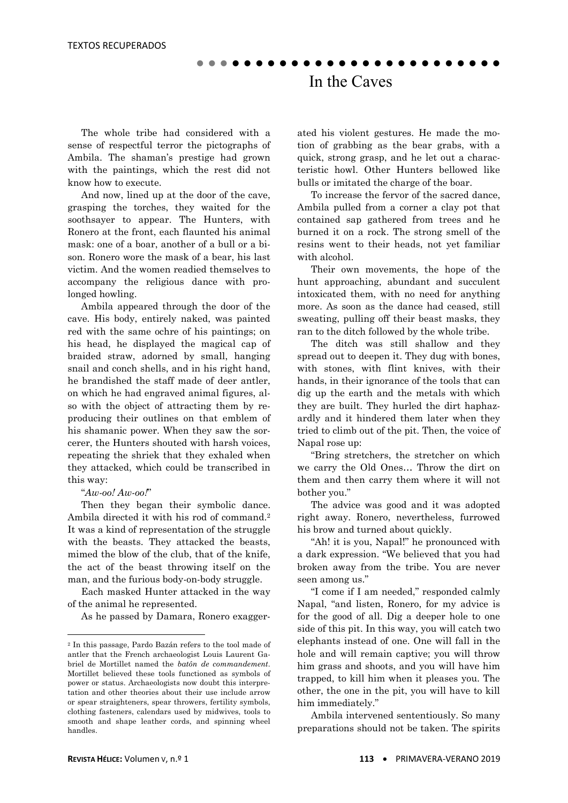The whole tribe had considered with a sense of respectful terror the pictographs of Ambila. The shaman's prestige had grown with the paintings, which the rest did not know how to execute.

 And now, lined up at the door of the cave, grasping the torches, they waited for the soothsayer to appear. The Hunters, with Ronero at the front, each flaunted his animal mask: one of a boar, another of a bull or a bison. Ronero wore the mask of a bear, his last victim. And the women readied themselves to accompany the religious dance with prolonged howling.

 Ambila appeared through the door of the cave. His body, entirely naked, was painted red with the same ochre of his paintings; on his head, he displayed the magical cap of braided straw, adorned by small, hanging snail and conch shells, and in his right hand, he brandished the staff made of deer antler, on which he had engraved animal figures, also with the object of attracting them by reproducing their outlines on that emblem of his shamanic power. When they saw the sorcerer, the Hunters shouted with harsh voices, repeating the shriek that they exhaled when they attacked, which could be transcribed in this way:

#### "*Aw-oo! Aw-oo!*"

**.** 

 Then they began their symbolic dance. Ambila directed it with his rod of command.2 It was a kind of representation of the struggle with the beasts. They attacked the beasts, mimed the blow of the club, that of the knife, the act of the beast throwing itself on the man, and the furious body-on-body struggle.

 Each masked Hunter attacked in the way of the animal he represented.

As he passed by Damara, Ronero exagger-

ated his violent gestures. He made the motion of grabbing as the bear grabs, with a quick, strong grasp, and he let out a characteristic howl. Other Hunters bellowed like bulls or imitated the charge of the boar.

 To increase the fervor of the sacred dance, Ambila pulled from a corner a clay pot that contained sap gathered from trees and he burned it on a rock. The strong smell of the resins went to their heads, not yet familiar with alcohol.

 Their own movements, the hope of the hunt approaching, abundant and succulent intoxicated them, with no need for anything more. As soon as the dance had ceased, still sweating, pulling off their beast masks, they ran to the ditch followed by the whole tribe.

 The ditch was still shallow and they spread out to deepen it. They dug with bones, with stones, with flint knives, with their hands, in their ignorance of the tools that can dig up the earth and the metals with which they are built. They hurled the dirt haphazardly and it hindered them later when they tried to climb out of the pit. Then, the voice of Napal rose up:

 "Bring stretchers, the stretcher on which we carry the Old Ones… Throw the dirt on them and then carry them where it will not bother you."

 The advice was good and it was adopted right away. Ronero, nevertheless, furrowed his brow and turned about quickly.

 "Ah! it is you, Napal!" he pronounced with a dark expression. "We believed that you had broken away from the tribe. You are never seen among us."

 "I come if I am needed," responded calmly Napal, "and listen, Ronero, for my advice is for the good of all. Dig a deeper hole to one side of this pit. In this way, you will catch two elephants instead of one. One will fall in the hole and will remain captive; you will throw him grass and shoots, and you will have him trapped, to kill him when it pleases you. The other, the one in the pit, you will have to kill him immediately."

 Ambila intervened sententiously. So many preparations should not be taken. The spirits

<sup>2</sup> In this passage, Pardo Bazán refers to the tool made of antler that the French archaeologist Louis Laurent Gabriel de Mortillet named the *batôn de commandement*. Mortillet believed these tools functioned as symbols of power or status. Archaeologists now doubt this interpretation and other theories about their use include arrow or spear straighteners, spear throwers, fertility symbols, clothing fasteners, calendars used by midwives, tools to smooth and shape leather cords, and spinning wheel handles.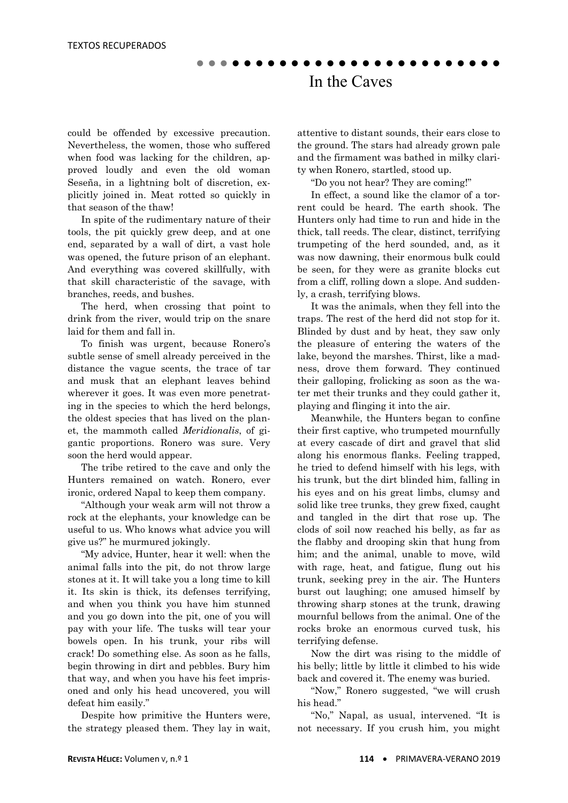could be offended by excessive precaution. Nevertheless, the women, those who suffered when food was lacking for the children, approved loudly and even the old woman Seseña, in a lightning bolt of discretion, explicitly joined in. Meat rotted so quickly in that season of the thaw!

 In spite of the rudimentary nature of their tools, the pit quickly grew deep, and at one end, separated by a wall of dirt, a vast hole was opened, the future prison of an elephant. And everything was covered skillfully, with that skill characteristic of the savage, with branches, reeds, and bushes.

 The herd, when crossing that point to drink from the river, would trip on the snare laid for them and fall in.

 To finish was urgent, because Ronero's subtle sense of smell already perceived in the distance the vague scents, the trace of tar and musk that an elephant leaves behind wherever it goes. It was even more penetrating in the species to which the herd belongs, the oldest species that has lived on the planet, the mammoth called *Meridionalis*, of gigantic proportions. Ronero was sure. Very soon the herd would appear.

 The tribe retired to the cave and only the Hunters remained on watch. Ronero, ever ironic, ordered Napal to keep them company.

 "Although your weak arm will not throw a rock at the elephants, your knowledge can be useful to us. Who knows what advice you will give us?" he murmured jokingly.

 "My advice, Hunter, hear it well: when the animal falls into the pit, do not throw large stones at it. It will take you a long time to kill it. Its skin is thick, its defenses terrifying, and when you think you have him stunned and you go down into the pit, one of you will pay with your life. The tusks will tear your bowels open. In his trunk, your ribs will crack! Do something else. As soon as he falls, begin throwing in dirt and pebbles. Bury him that way, and when you have his feet imprisoned and only his head uncovered, you will defeat him easily."

 Despite how primitive the Hunters were, the strategy pleased them. They lay in wait, attentive to distant sounds, their ears close to the ground. The stars had already grown pale and the firmament was bathed in milky clarity when Ronero, startled, stood up.

"Do you not hear? They are coming!"

 In effect, a sound like the clamor of a torrent could be heard. The earth shook. The Hunters only had time to run and hide in the thick, tall reeds. The clear, distinct, terrifying trumpeting of the herd sounded, and, as it was now dawning, their enormous bulk could be seen, for they were as granite blocks cut from a cliff, rolling down a slope. And suddenly, a crash, terrifying blows.

 It was the animals, when they fell into the traps. The rest of the herd did not stop for it. Blinded by dust and by heat, they saw only the pleasure of entering the waters of the lake, beyond the marshes. Thirst, like a madness, drove them forward. They continued their galloping, frolicking as soon as the water met their trunks and they could gather it, playing and flinging it into the air.

 Meanwhile, the Hunters began to confine their first captive, who trumpeted mournfully at every cascade of dirt and gravel that slid along his enormous flanks. Feeling trapped, he tried to defend himself with his legs, with his trunk, but the dirt blinded him, falling in his eyes and on his great limbs, clumsy and solid like tree trunks, they grew fixed, caught and tangled in the dirt that rose up. The clods of soil now reached his belly, as far as the flabby and drooping skin that hung from him; and the animal, unable to move, wild with rage, heat, and fatigue, flung out his trunk, seeking prey in the air. The Hunters burst out laughing; one amused himself by throwing sharp stones at the trunk, drawing mournful bellows from the animal. One of the rocks broke an enormous curved tusk, his terrifying defense.

 Now the dirt was rising to the middle of his belly; little by little it climbed to his wide back and covered it. The enemy was buried.

 "Now," Ronero suggested, "we will crush his head."

 "No," Napal, as usual, intervened. "It is not necessary. If you crush him, you might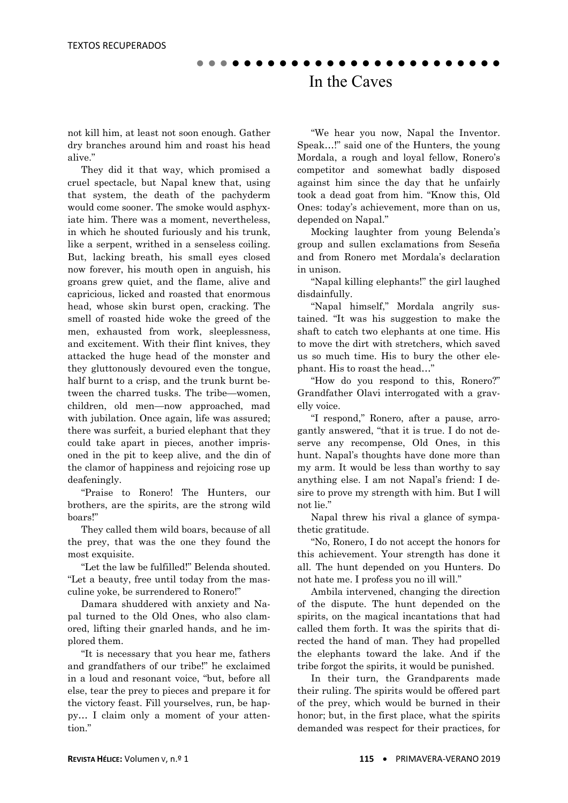not kill him, at least not soon enough. Gather dry branches around him and roast his head alive."

 They did it that way, which promised a cruel spectacle, but Napal knew that, using that system, the death of the pachyderm would come sooner. The smoke would asphyxiate him. There was a moment, nevertheless, in which he shouted furiously and his trunk, like a serpent, writhed in a senseless coiling. But, lacking breath, his small eyes closed now forever, his mouth open in anguish, his groans grew quiet, and the flame, alive and capricious, licked and roasted that enormous head, whose skin burst open, cracking. The smell of roasted hide woke the greed of the men, exhausted from work, sleeplessness, and excitement. With their flint knives, they attacked the huge head of the monster and they gluttonously devoured even the tongue, half burnt to a crisp, and the trunk burnt between the charred tusks. The tribe—women, children, old men—now approached, mad with jubilation. Once again, life was assured; there was surfeit, a buried elephant that they could take apart in pieces, another imprisoned in the pit to keep alive, and the din of the clamor of happiness and rejoicing rose up deafeningly.

 "Praise to Ronero! The Hunters, our brothers, are the spirits, are the strong wild boars!"

 They called them wild boars, because of all the prey, that was the one they found the most exquisite.

 "Let the law be fulfilled!" Belenda shouted. "Let a beauty, free until today from the masculine yoke, be surrendered to Ronero!"

 Damara shuddered with anxiety and Napal turned to the Old Ones, who also clamored, lifting their gnarled hands, and he implored them.

 "It is necessary that you hear me, fathers and grandfathers of our tribe!" he exclaimed in a loud and resonant voice, "but, before all else, tear the prey to pieces and prepare it for the victory feast. Fill yourselves, run, be happy… I claim only a moment of your attention."

 "We hear you now, Napal the Inventor. Speak…!" said one of the Hunters, the young Mordala, a rough and loyal fellow, Ronero's competitor and somewhat badly disposed against him since the day that he unfairly took a dead goat from him. "Know this, Old Ones: today's achievement, more than on us, depended on Napal."

 Mocking laughter from young Belenda's group and sullen exclamations from Seseña and from Ronero met Mordala's declaration in unison.

 "Napal killing elephants!" the girl laughed disdainfully.

 "Napal himself," Mordala angrily sustained. "It was his suggestion to make the shaft to catch two elephants at one time. His to move the dirt with stretchers, which saved us so much time. His to bury the other elephant. His to roast the head…"

 "How do you respond to this, Ronero?" Grandfather Olavi interrogated with a gravelly voice.

 "I respond," Ronero, after a pause, arrogantly answered, "that it is true. I do not deserve any recompense, Old Ones, in this hunt. Napal's thoughts have done more than my arm. It would be less than worthy to say anything else. I am not Napal's friend: I desire to prove my strength with him. But I will not lie."

 Napal threw his rival a glance of sympathetic gratitude.

 "No, Ronero, I do not accept the honors for this achievement. Your strength has done it all. The hunt depended on you Hunters. Do not hate me. I profess you no ill will."

 Ambila intervened, changing the direction of the dispute. The hunt depended on the spirits, on the magical incantations that had called them forth. It was the spirits that directed the hand of man. They had propelled the elephants toward the lake. And if the tribe forgot the spirits, it would be punished.

 In their turn, the Grandparents made their ruling. The spirits would be offered part of the prey, which would be burned in their honor; but, in the first place, what the spirits demanded was respect for their practices, for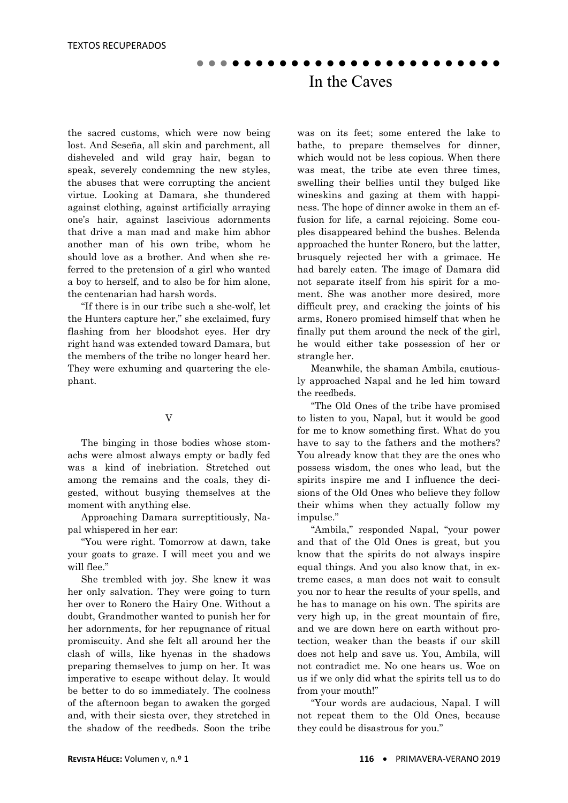the sacred customs, which were now being lost. And Seseña, all skin and parchment, all disheveled and wild gray hair, began to speak, severely condemning the new styles, the abuses that were corrupting the ancient virtue. Looking at Damara, she thundered against clothing, against artificially arraying one's hair, against lascivious adornments that drive a man mad and make him abhor another man of his own tribe, whom he should love as a brother. And when she referred to the pretension of a girl who wanted a boy to herself, and to also be for him alone, the centenarian had harsh words.

 "If there is in our tribe such a she-wolf, let the Hunters capture her," she exclaimed, fury flashing from her bloodshot eyes. Her dry right hand was extended toward Damara, but the members of the tribe no longer heard her. They were exhuming and quartering the elephant.

#### V

 The binging in those bodies whose stomachs were almost always empty or badly fed was a kind of inebriation. Stretched out among the remains and the coals, they digested, without busying themselves at the moment with anything else.

 Approaching Damara surreptitiously, Napal whispered in her ear:

 "You were right. Tomorrow at dawn, take your goats to graze. I will meet you and we will flee."

 She trembled with joy. She knew it was her only salvation. They were going to turn her over to Ronero the Hairy One. Without a doubt, Grandmother wanted to punish her for her adornments, for her repugnance of ritual promiscuity. And she felt all around her the clash of wills, like hyenas in the shadows preparing themselves to jump on her. It was imperative to escape without delay. It would be better to do so immediately. The coolness of the afternoon began to awaken the gorged and, with their siesta over, they stretched in the shadow of the reedbeds. Soon the tribe

was on its feet; some entered the lake to bathe, to prepare themselves for dinner, which would not be less copious. When there was meat, the tribe ate even three times, swelling their bellies until they bulged like wineskins and gazing at them with happiness. The hope of dinner awoke in them an effusion for life, a carnal rejoicing. Some couples disappeared behind the bushes. Belenda approached the hunter Ronero, but the latter, brusquely rejected her with a grimace. He had barely eaten. The image of Damara did not separate itself from his spirit for a moment. She was another more desired, more difficult prey, and cracking the joints of his arms, Ronero promised himself that when he finally put them around the neck of the girl, he would either take possession of her or strangle her.

 Meanwhile, the shaman Ambila, cautiously approached Napal and he led him toward the reedbeds.

 "The Old Ones of the tribe have promised to listen to you, Napal, but it would be good for me to know something first. What do you have to say to the fathers and the mothers? You already know that they are the ones who possess wisdom, the ones who lead, but the spirits inspire me and I influence the decisions of the Old Ones who believe they follow their whims when they actually follow my impulse."

 "Ambila," responded Napal, "your power and that of the Old Ones is great, but you know that the spirits do not always inspire equal things. And you also know that, in extreme cases, a man does not wait to consult you nor to hear the results of your spells, and he has to manage on his own. The spirits are very high up, in the great mountain of fire, and we are down here on earth without protection, weaker than the beasts if our skill does not help and save us. You, Ambila, will not contradict me. No one hears us. Woe on us if we only did what the spirits tell us to do from your mouth!"

 "Your words are audacious, Napal. I will not repeat them to the Old Ones, because they could be disastrous for you."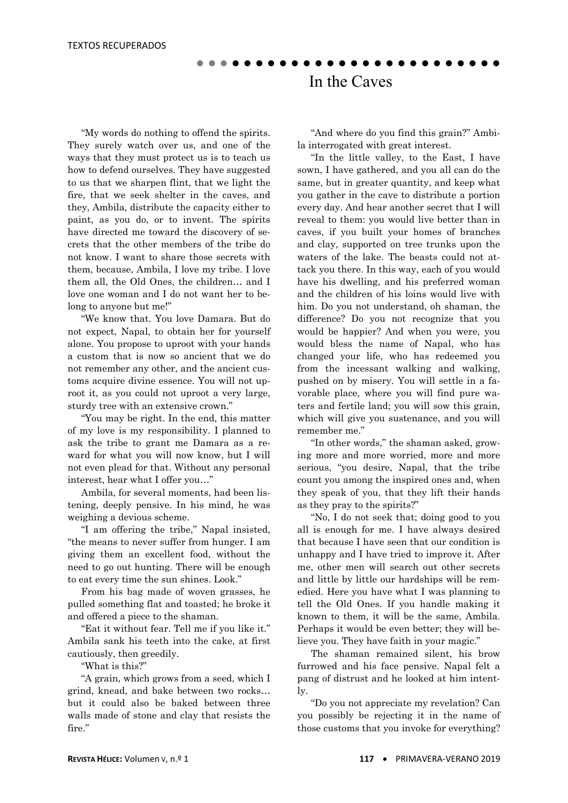"My words do nothing to offend the spirits. They surely watch over us, and one of the ways that they must protect us is to teach us how to defend ourselves. They have suggested to us that we sharpen flint, that we light the fire, that we seek shelter in the caves, and they, Ambila, distribute the capacity either to paint, as you do, or to invent. The spirits have directed me toward the discovery of secrets that the other members of the tribe do not know. I want to share those secrets with them, because, Ambila, I love my tribe. I love them all, the Old Ones, the children… and I love one woman and I do not want her to belong to anyone but me!"

 "We know that. You love Damara. But do not expect, Napal, to obtain her for yourself alone. You propose to uproot with your hands a custom that is now so ancient that we do not remember any other, and the ancient customs acquire divine essence. You will not uproot it, as you could not uproot a very large, sturdy tree with an extensive crown."

 "You may be right. In the end, this matter of my love is my responsibility. I planned to ask the tribe to grant me Damara as a reward for what you will now know, but I will not even plead for that. Without any personal interest, hear what I offer you…"

 Ambila, for several moments, had been listening, deeply pensive. In his mind, he was weighing a devious scheme.

 "I am offering the tribe," Napal insisted, "the means to never suffer from hunger. I am giving them an excellent food, without the need to go out hunting. There will be enough to eat every time the sun shines. Look."

 From his bag made of woven grasses, he pulled something flat and toasted; he broke it and offered a piece to the shaman.

 "Eat it without fear. Tell me if you like it." Ambila sank his teeth into the cake, at first cautiously, then greedily.

"What is this?"

 "A grain, which grows from a seed, which I grind, knead, and bake between two rocks… but it could also be baked between three walls made of stone and clay that resists the fire."

 "And where do you find this grain?" Ambila interrogated with great interest.

 "In the little valley, to the East, I have sown, I have gathered, and you all can do the same, but in greater quantity, and keep what you gather in the cave to distribute a portion every day. And hear another secret that I will reveal to them: you would live better than in caves, if you built your homes of branches and clay, supported on tree trunks upon the waters of the lake. The beasts could not attack you there. In this way, each of you would have his dwelling, and his preferred woman and the children of his loins would live with him. Do you not understand, oh shaman, the difference? Do you not recognize that you would be happier? And when you were, you would bless the name of Napal, who has changed your life, who has redeemed you from the incessant walking and walking, pushed on by misery. You will settle in a favorable place, where you will find pure waters and fertile land; you will sow this grain, which will give you sustenance, and you will remember me."

 "In other words," the shaman asked, growing more and more worried, more and more serious, "you desire, Napal, that the tribe count you among the inspired ones and, when they speak of you, that they lift their hands as they pray to the spirits?"

 "No, I do not seek that; doing good to you all is enough for me. I have always desired that because I have seen that our condition is unhappy and I have tried to improve it. After me, other men will search out other secrets and little by little our hardships will be remedied. Here you have what I was planning to tell the Old Ones. If you handle making it known to them, it will be the same, Ambila. Perhaps it would be even better; they will believe you. They have faith in your magic."

 The shaman remained silent, his brow furrowed and his face pensive. Napal felt a pang of distrust and he looked at him intently.

 "Do you not appreciate my revelation? Can you possibly be rejecting it in the name of those customs that you invoke for everything?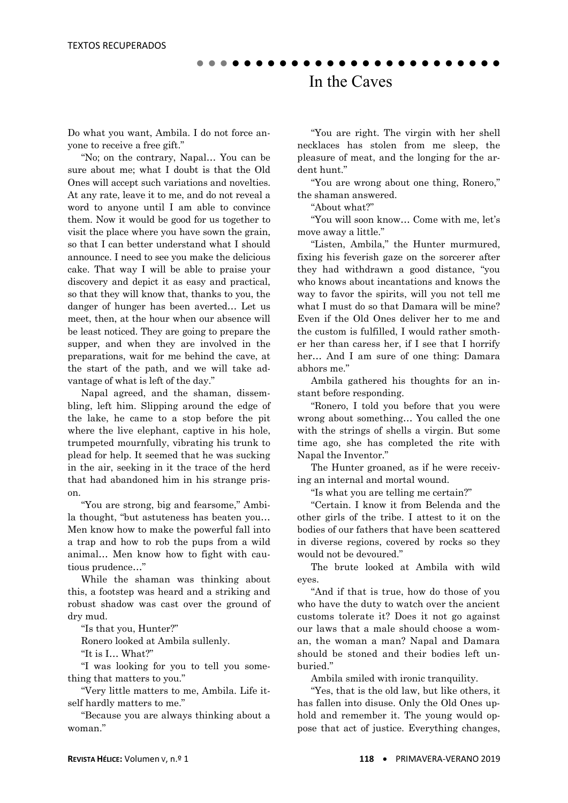Do what you want, Ambila. I do not force anyone to receive a free gift."

 "No; on the contrary, Napal… You can be sure about me; what I doubt is that the Old Ones will accept such variations and novelties. At any rate, leave it to me, and do not reveal a word to anyone until I am able to convince them. Now it would be good for us together to visit the place where you have sown the grain, so that I can better understand what I should announce. I need to see you make the delicious cake. That way I will be able to praise your discovery and depict it as easy and practical, so that they will know that, thanks to you, the danger of hunger has been averted… Let us meet, then, at the hour when our absence will be least noticed. They are going to prepare the supper, and when they are involved in the preparations, wait for me behind the cave, at the start of the path, and we will take advantage of what is left of the day."

 Napal agreed, and the shaman, dissembling, left him. Slipping around the edge of the lake, he came to a stop before the pit where the live elephant, captive in his hole, trumpeted mournfully, vibrating his trunk to plead for help. It seemed that he was sucking in the air, seeking in it the trace of the herd that had abandoned him in his strange prison.

 "You are strong, big and fearsome," Ambila thought, "but astuteness has beaten you… Men know how to make the powerful fall into a trap and how to rob the pups from a wild animal… Men know how to fight with cautious prudence…"

 While the shaman was thinking about this, a footstep was heard and a striking and robust shadow was cast over the ground of dry mud.

"Is that you, Hunter?"

Ronero looked at Ambila sullenly.

"It is I… What?"

 "I was looking for you to tell you something that matters to you."

 "Very little matters to me, Ambila. Life itself hardly matters to me."

 "Because you are always thinking about a woman."

 "You are right. The virgin with her shell necklaces has stolen from me sleep, the pleasure of meat, and the longing for the ardent hunt."

 "You are wrong about one thing, Ronero," the shaman answered.

"About what?"

 "You will soon know… Come with me, let's move away a little."

 "Listen, Ambila," the Hunter murmured, fixing his feverish gaze on the sorcerer after they had withdrawn a good distance, "you who knows about incantations and knows the way to favor the spirits, will you not tell me what I must do so that Damara will be mine? Even if the Old Ones deliver her to me and the custom is fulfilled, I would rather smother her than caress her, if I see that I horrify her… And I am sure of one thing: Damara abhors me."

 Ambila gathered his thoughts for an instant before responding.

 "Ronero, I told you before that you were wrong about something… You called the one with the strings of shells a virgin. But some time ago, she has completed the rite with Napal the Inventor."

 The Hunter groaned, as if he were receiving an internal and mortal wound.

"Is what you are telling me certain?"

 "Certain. I know it from Belenda and the other girls of the tribe. I attest to it on the bodies of our fathers that have been scattered in diverse regions, covered by rocks so they would not be devoured."

 The brute looked at Ambila with wild eyes.

 "And if that is true, how do those of you who have the duty to watch over the ancient customs tolerate it? Does it not go against our laws that a male should choose a woman, the woman a man? Napal and Damara should be stoned and their bodies left unburied."

Ambila smiled with ironic tranquility.

 "Yes, that is the old law, but like others, it has fallen into disuse. Only the Old Ones uphold and remember it. The young would oppose that act of justice. Everything changes,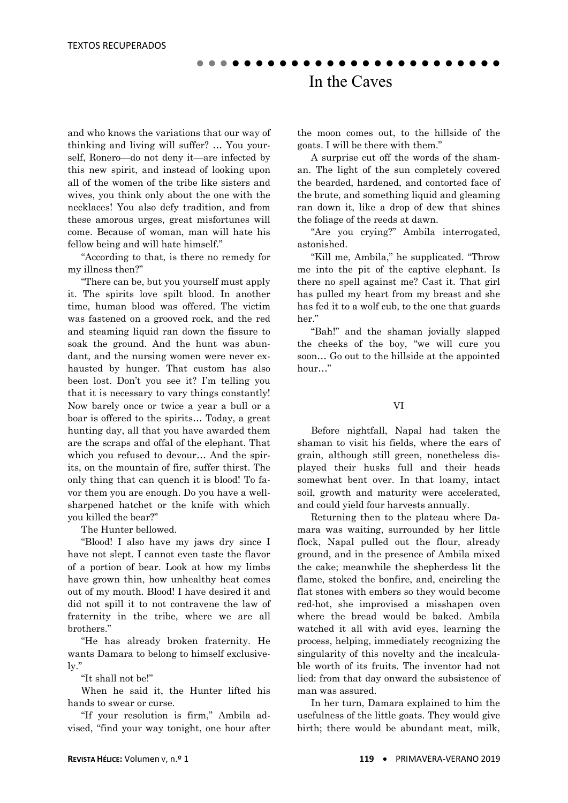and who knows the variations that our way of thinking and living will suffer? … You yourself, Ronero—do not deny it—are infected by this new spirit, and instead of looking upon all of the women of the tribe like sisters and wives, you think only about the one with the necklaces! You also defy tradition, and from these amorous urges, great misfortunes will come. Because of woman, man will hate his fellow being and will hate himself."

 "According to that, is there no remedy for my illness then?"

 "There can be, but you yourself must apply it. The spirits love spilt blood. In another time, human blood was offered. The victim was fastened on a grooved rock, and the red and steaming liquid ran down the fissure to soak the ground. And the hunt was abundant, and the nursing women were never exhausted by hunger. That custom has also been lost. Don't you see it? I'm telling you that it is necessary to vary things constantly! Now barely once or twice a year a bull or a boar is offered to the spirits… Today, a great hunting day, all that you have awarded them are the scraps and offal of the elephant. That which you refused to devour... And the spirits, on the mountain of fire, suffer thirst. The only thing that can quench it is blood! To favor them you are enough. Do you have a wellsharpened hatchet or the knife with which you killed the bear?"

The Hunter bellowed.

 "Blood! I also have my jaws dry since I have not slept. I cannot even taste the flavor of a portion of bear. Look at how my limbs have grown thin, how unhealthy heat comes out of my mouth. Blood! I have desired it and did not spill it to not contravene the law of fraternity in the tribe, where we are all brothers."

 "He has already broken fraternity. He wants Damara to belong to himself exclusively."

"It shall not be!"

 When he said it, the Hunter lifted his hands to swear or curse.

 "If your resolution is firm," Ambila advised, "find your way tonight, one hour after the moon comes out, to the hillside of the goats. I will be there with them."

 A surprise cut off the words of the shaman. The light of the sun completely covered the bearded, hardened, and contorted face of the brute, and something liquid and gleaming ran down it, like a drop of dew that shines the foliage of the reeds at dawn.

 "Are you crying?" Ambila interrogated, astonished.

 "Kill me, Ambila," he supplicated. "Throw me into the pit of the captive elephant. Is there no spell against me? Cast it. That girl has pulled my heart from my breast and she has fed it to a wolf cub, to the one that guards her."

 "Bah!" and the shaman jovially slapped the cheeks of the boy, "we will cure you soon… Go out to the hillside at the appointed hour…"

#### VI

 Before nightfall, Napal had taken the shaman to visit his fields, where the ears of grain, although still green, nonetheless displayed their husks full and their heads somewhat bent over. In that loamy, intact soil, growth and maturity were accelerated, and could yield four harvests annually.

 Returning then to the plateau where Damara was waiting, surrounded by her little flock, Napal pulled out the flour, already ground, and in the presence of Ambila mixed the cake; meanwhile the shepherdess lit the flame, stoked the bonfire, and, encircling the flat stones with embers so they would become red-hot, she improvised a misshapen oven where the bread would be baked. Ambila watched it all with avid eyes, learning the process, helping, immediately recognizing the singularity of this novelty and the incalculable worth of its fruits. The inventor had not lied: from that day onward the subsistence of man was assured.

 In her turn, Damara explained to him the usefulness of the little goats. They would give birth; there would be abundant meat, milk,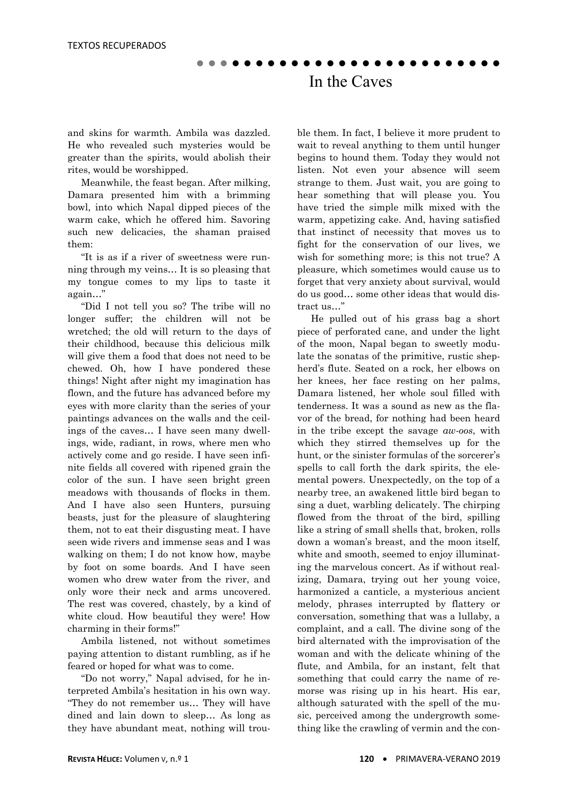and skins for warmth. Ambila was dazzled. He who revealed such mysteries would be greater than the spirits, would abolish their rites, would be worshipped.

 Meanwhile, the feast began. After milking, Damara presented him with a brimming bowl, into which Napal dipped pieces of the warm cake, which he offered him. Savoring such new delicacies, the shaman praised them:

 "It is as if a river of sweetness were running through my veins… It is so pleasing that my tongue comes to my lips to taste it again…"

 "Did I not tell you so? The tribe will no longer suffer; the children will not be wretched; the old will return to the days of their childhood, because this delicious milk will give them a food that does not need to be chewed. Oh, how I have pondered these things! Night after night my imagination has flown, and the future has advanced before my eyes with more clarity than the series of your paintings advances on the walls and the ceilings of the caves… I have seen many dwellings, wide, radiant, in rows, where men who actively come and go reside. I have seen infinite fields all covered with ripened grain the color of the sun. I have seen bright green meadows with thousands of flocks in them. And I have also seen Hunters, pursuing beasts, just for the pleasure of slaughtering them, not to eat their disgusting meat. I have seen wide rivers and immense seas and I was walking on them; I do not know how, maybe by foot on some boards. And I have seen women who drew water from the river, and only wore their neck and arms uncovered. The rest was covered, chastely, by a kind of white cloud. How beautiful they were! How charming in their forms!"

 Ambila listened, not without sometimes paying attention to distant rumbling, as if he feared or hoped for what was to come.

 "Do not worry," Napal advised, for he interpreted Ambila's hesitation in his own way. "They do not remember us… They will have dined and lain down to sleep… As long as they have abundant meat, nothing will trouble them. In fact, I believe it more prudent to wait to reveal anything to them until hunger begins to hound them. Today they would not listen. Not even your absence will seem strange to them. Just wait, you are going to hear something that will please you. You have tried the simple milk mixed with the warm, appetizing cake. And, having satisfied that instinct of necessity that moves us to fight for the conservation of our lives, we wish for something more; is this not true? A pleasure, which sometimes would cause us to forget that very anxiety about survival, would do us good… some other ideas that would distract us…"

 He pulled out of his grass bag a short piece of perforated cane, and under the light of the moon, Napal began to sweetly modulate the sonatas of the primitive, rustic shepherd's flute. Seated on a rock, her elbows on her knees, her face resting on her palms, Damara listened, her whole soul filled with tenderness. It was a sound as new as the flavor of the bread, for nothing had been heard in the tribe except the savage *aw-oos*, with which they stirred themselves up for the hunt, or the sinister formulas of the sorcerer's spells to call forth the dark spirits, the elemental powers. Unexpectedly, on the top of a nearby tree, an awakened little bird began to sing a duet, warbling delicately. The chirping flowed from the throat of the bird, spilling like a string of small shells that, broken, rolls down a woman's breast, and the moon itself, white and smooth, seemed to enjoy illuminating the marvelous concert. As if without realizing, Damara, trying out her young voice, harmonized a canticle, a mysterious ancient melody, phrases interrupted by flattery or conversation, something that was a lullaby, a complaint, and a call. The divine song of the bird alternated with the improvisation of the woman and with the delicate whining of the flute, and Ambila, for an instant, felt that something that could carry the name of remorse was rising up in his heart. His ear, although saturated with the spell of the music, perceived among the undergrowth something like the crawling of vermin and the con-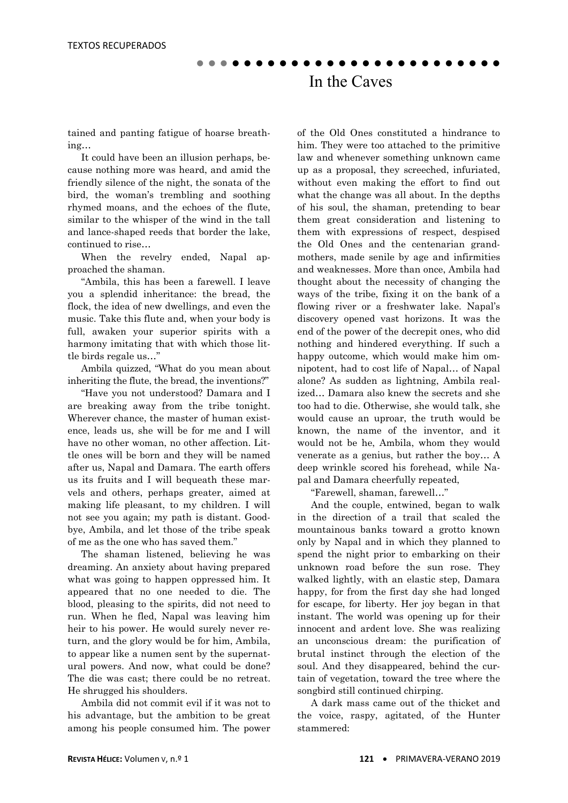tained and panting fatigue of hoarse breathing…

 It could have been an illusion perhaps, because nothing more was heard, and amid the friendly silence of the night, the sonata of the bird, the woman's trembling and soothing rhymed moans, and the echoes of the flute, similar to the whisper of the wind in the tall and lance-shaped reeds that border the lake, continued to rise…

 When the revelry ended, Napal approached the shaman.

 "Ambila, this has been a farewell. I leave you a splendid inheritance: the bread, the flock, the idea of new dwellings, and even the music. Take this flute and, when your body is full, awaken your superior spirits with a harmony imitating that with which those little birds regale us…"

 Ambila quizzed, "What do you mean about inheriting the flute, the bread, the inventions?"

 "Have you not understood? Damara and I are breaking away from the tribe tonight. Wherever chance, the master of human existence, leads us, she will be for me and I will have no other woman, no other affection. Little ones will be born and they will be named after us, Napal and Damara. The earth offers us its fruits and I will bequeath these marvels and others, perhaps greater, aimed at making life pleasant, to my children. I will not see you again; my path is distant. Goodbye, Ambila, and let those of the tribe speak of me as the one who has saved them."

 The shaman listened, believing he was dreaming. An anxiety about having prepared what was going to happen oppressed him. It appeared that no one needed to die. The blood, pleasing to the spirits, did not need to run. When he fled, Napal was leaving him heir to his power. He would surely never return, and the glory would be for him, Ambila, to appear like a numen sent by the supernatural powers. And now, what could be done? The die was cast; there could be no retreat. He shrugged his shoulders.

 Ambila did not commit evil if it was not to his advantage, but the ambition to be great among his people consumed him. The power of the Old Ones constituted a hindrance to him. They were too attached to the primitive law and whenever something unknown came up as a proposal, they screeched, infuriated, without even making the effort to find out what the change was all about. In the depths of his soul, the shaman, pretending to bear them great consideration and listening to them with expressions of respect, despised the Old Ones and the centenarian grandmothers, made senile by age and infirmities and weaknesses. More than once, Ambila had thought about the necessity of changing the ways of the tribe, fixing it on the bank of a flowing river or a freshwater lake. Napal's discovery opened vast horizons. It was the end of the power of the decrepit ones, who did nothing and hindered everything. If such a happy outcome, which would make him omnipotent, had to cost life of Napal… of Napal alone? As sudden as lightning, Ambila realized… Damara also knew the secrets and she too had to die. Otherwise, she would talk, she would cause an uproar, the truth would be known, the name of the inventor, and it would not be he, Ambila, whom they would venerate as a genius, but rather the boy… A deep wrinkle scored his forehead, while Napal and Damara cheerfully repeated,

"Farewell, shaman, farewell…"

 And the couple, entwined, began to walk in the direction of a trail that scaled the mountainous banks toward a grotto known only by Napal and in which they planned to spend the night prior to embarking on their unknown road before the sun rose. They walked lightly, with an elastic step, Damara happy, for from the first day she had longed for escape, for liberty. Her joy began in that instant. The world was opening up for their innocent and ardent love. She was realizing an unconscious dream: the purification of brutal instinct through the election of the soul. And they disappeared, behind the curtain of vegetation, toward the tree where the songbird still continued chirping.

 A dark mass came out of the thicket and the voice, raspy, agitated, of the Hunter stammered: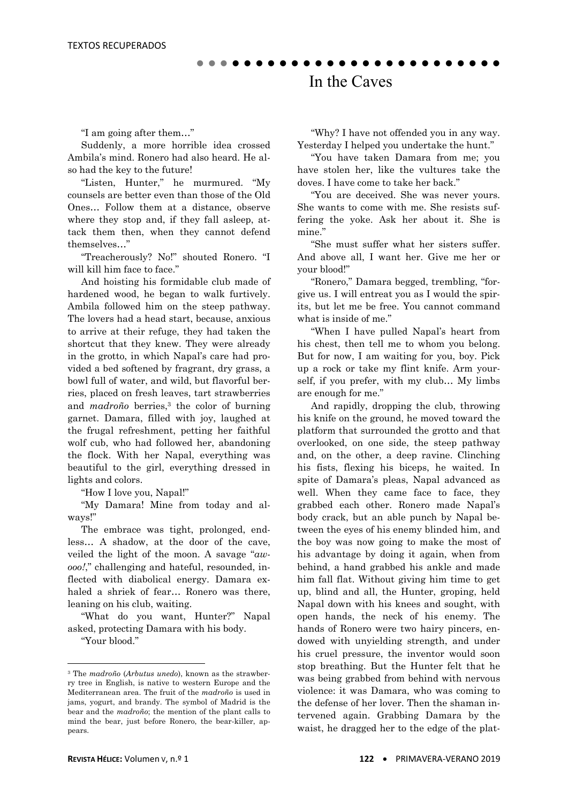"I am going after them…"

 Suddenly, a more horrible idea crossed Ambila's mind. Ronero had also heard. He also had the key to the future!

 "Listen, Hunter," he murmured. "My counsels are better even than those of the Old Ones… Follow them at a distance, observe where they stop and, if they fall asleep, attack them then, when they cannot defend themselves…"

 "Treacherously? No!" shouted Ronero. "I will kill him face to face."

 And hoisting his formidable club made of hardened wood, he began to walk furtively. Ambila followed him on the steep pathway. The lovers had a head start, because, anxious to arrive at their refuge, they had taken the shortcut that they knew. They were already in the grotto, in which Napal's care had provided a bed softened by fragrant, dry grass, a bowl full of water, and wild, but flavorful berries, placed on fresh leaves, tart strawberries and *madroño* berries,<sup>3</sup> the color of burning garnet. Damara, filled with joy, laughed at the frugal refreshment, petting her faithful wolf cub, who had followed her, abandoning the flock. With her Napal, everything was beautiful to the girl, everything dressed in lights and colors.

"How I love you, Napal!"

 "My Damara! Mine from today and always!"

 The embrace was tight, prolonged, endless… A shadow, at the door of the cave, veiled the light of the moon. A savage "*awooo!*," challenging and hateful, resounded, inflected with diabolical energy. Damara exhaled a shriek of fear… Ronero was there, leaning on his club, waiting.

 "What do you want, Hunter?" Napal asked, protecting Damara with his body.

"Your blood."

**.** 

 "Why? I have not offended you in any way. Yesterday I helped you undertake the hunt."

 "You have taken Damara from me; you have stolen her, like the vultures take the doves. I have come to take her back."

 "You are deceived. She was never yours. She wants to come with me. She resists suffering the yoke. Ask her about it. She is mine."

 "She must suffer what her sisters suffer. And above all, I want her. Give me her or your blood!"

 "Ronero," Damara begged, trembling, "forgive us. I will entreat you as I would the spirits, but let me be free. You cannot command what is inside of me."

 "When I have pulled Napal's heart from his chest, then tell me to whom you belong. But for now, I am waiting for you, boy. Pick up a rock or take my flint knife. Arm yourself, if you prefer, with my club… My limbs are enough for me."

 And rapidly, dropping the club, throwing his knife on the ground, he moved toward the platform that surrounded the grotto and that overlooked, on one side, the steep pathway and, on the other, a deep ravine. Clinching his fists, flexing his biceps, he waited. In spite of Damara's pleas, Napal advanced as well. When they came face to face, they grabbed each other. Ronero made Napal's body crack, but an able punch by Napal between the eyes of his enemy blinded him, and the boy was now going to make the most of his advantage by doing it again, when from behind, a hand grabbed his ankle and made him fall flat. Without giving him time to get up, blind and all, the Hunter, groping, held Napal down with his knees and sought, with open hands, the neck of his enemy. The hands of Ronero were two hairy pincers, endowed with unyielding strength, and under his cruel pressure, the inventor would soon stop breathing. But the Hunter felt that he was being grabbed from behind with nervous violence: it was Damara, who was coming to the defense of her lover. Then the shaman intervened again. Grabbing Damara by the waist, he dragged her to the edge of the plat-

<sup>3</sup> The *madroño* (*Arbutus unedo*), known as the strawberry tree in English, is native to western Europe and the Mediterranean area. The fruit of the *madroño* is used in jams, yogurt, and brandy. The symbol of Madrid is the bear and the *madroño*; the mention of the plant calls to mind the bear, just before Ronero, the bear-killer, appears.